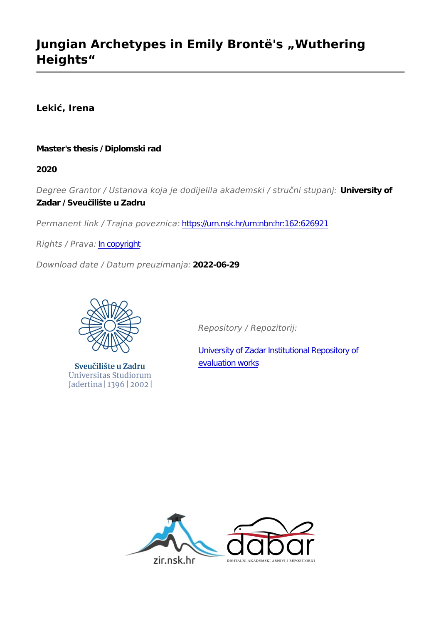# **Jungian Archetypes in Emily Brontë's "Wuthering Heights"**

**Lekić, Irena**

### **Master's thesis / Diplomski rad**

**2020**

*Degree Grantor / Ustanova koja je dodijelila akademski / stručni stupanj:* **University of Zadar / Sveučilište u Zadru**

*Permanent link / Trajna poveznica:* <https://urn.nsk.hr/urn:nbn:hr:162:626921>

*Rights / Prava:* [In copyright](http://rightsstatements.org/vocab/InC/1.0/)

*Download date / Datum preuzimanja:* **2022-06-29**



Sveučilište u Zadru Universitas Studiorum Jadertina | 1396 | 2002 |

*Repository / Repozitorij:*

[University of Zadar Institutional Repository of](https://repozitorij.unizd.hr) [evaluation works](https://repozitorij.unizd.hr)

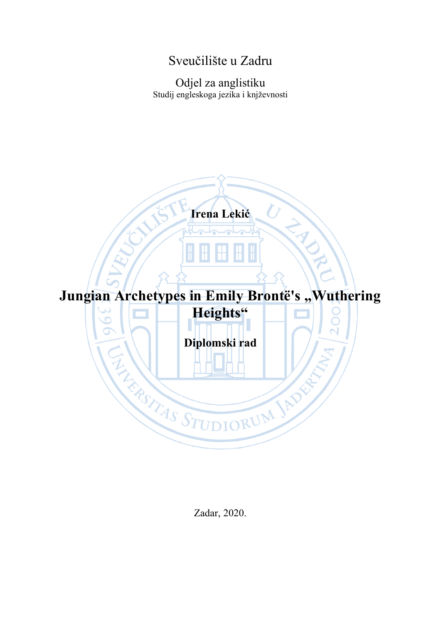### Sveučilište u Zadru

Odjel za anglistiku Studij engleskoga jezika i knjževnosti



Zadar, 2020.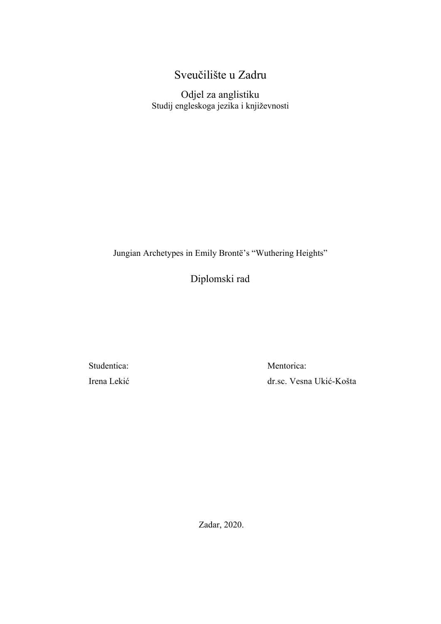### Sveučilište u Zadru

Odjel za anglistiku Studij engleskoga jezika i književnosti

Jungian Archetypes in Emily Brontë's "Wuthering Heights"

Diplomski rad

Studentica: Irena Lekić Mentorica: dr.sc. Vesna Ukić-Košta

Zadar, 2020.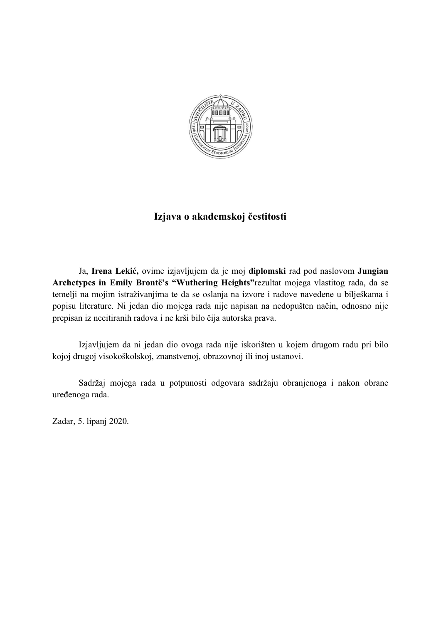

### **Izjava o akademskoj čestitosti**

Ja, **Irena Lekić,** ovime izjavljujem da je moj **diplomski** rad pod naslovom **Jungian Archetypes in Emily Brontë's "Wuthering Heights"**rezultat mojega vlastitog rada, da se temelji na mojim istraživanjima te da se oslanja na izvore i radove navedene u bilješkama i popisu literature. Ni jedan dio mojega rada nije napisan na nedopušten način, odnosno nije prepisan iz necitiranih radova i ne krši bilo čija autorska prava.

Izjavljujem da ni jedan dio ovoga rada nije iskorišten u kojem drugom radu pri bilo kojoj drugoj visokoškolskoj, znanstvenoj, obrazovnoj ili inoj ustanovi.

Sadržaj mojega rada u potpunosti odgovara sadržaju obranjenoga i nakon obrane uređenoga rada.

Zadar, 5. lipanj 2020.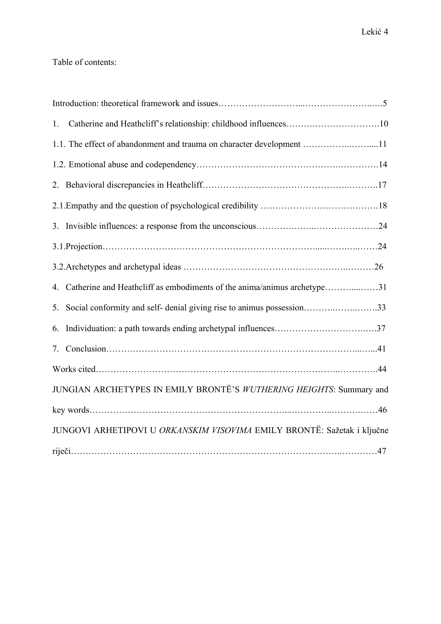### Table of contents:

| 1. |                                                                            |
|----|----------------------------------------------------------------------------|
|    | 1.1. The effect of abandonment and trauma on character development 11      |
|    |                                                                            |
|    |                                                                            |
|    |                                                                            |
|    |                                                                            |
|    |                                                                            |
|    |                                                                            |
|    | 4. Catherine and Heathcliff as embodiments of the anima/animus archetype31 |
|    | 5. Social conformity and self-denial giving rise to animus possession33    |
|    |                                                                            |
|    |                                                                            |
|    |                                                                            |
|    | JUNGIAN ARCHETYPES IN EMILY BRONTË'S WUTHERING HEIGHTS: Summary and        |
|    |                                                                            |
|    | JUNGOVI ARHETIPOVI U ORKANSKIM VISOVIMA EMILY BRONTË: Sažetak i ključne    |
|    |                                                                            |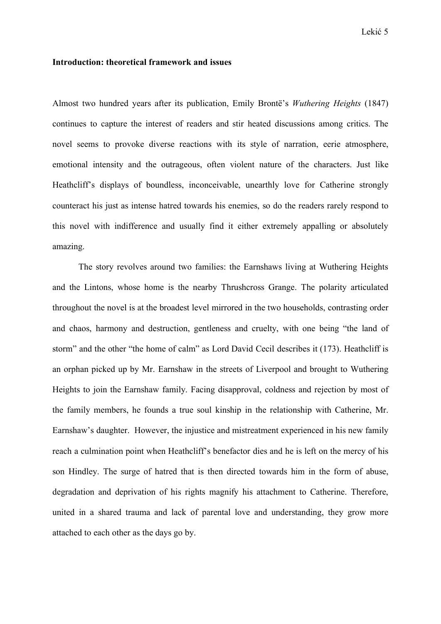#### **Introduction: theoretical framework and issues**

Almost two hundred years after its publication, Emily Brontë's *Wuthering Heights* (1847) continues to capture the interest of readers and stir heated discussions among critics. The novel seems to provoke diverse reactions with its style of narration, eerie atmosphere, emotional intensity and the outrageous, often violent nature of the characters. Just like Heathcliff's displays of boundless, inconceivable, unearthly love for Catherine strongly counteract his just as intense hatred towards his enemies, so do the readers rarely respond to this novel with indifference and usually find it either extremely appalling or absolutely amazing.

The story revolves around two families: the Earnshaws living at Wuthering Heights and the Lintons, whose home is the nearby Thrushcross Grange. The polarity articulated throughout the novel is at the broadest level mirrored in the two households, contrasting order and chaos, harmony and destruction, gentleness and cruelty, with one being "the land of storm" and the other "the home of calm" as Lord David Cecil describes it (173). Heathcliff is an orphan picked up by Mr. Earnshaw in the streets of Liverpool and brought to Wuthering Heights to join the Earnshaw family. Facing disapproval, coldness and rejection by most of the family members, he founds a true soul kinship in the relationship with Catherine, Mr. Earnshaw's daughter. However, the injustice and mistreatment experienced in his new family reach a culmination point when Heathcliff's benefactor dies and he is left on the mercy of his son Hindley. The surge of hatred that is then directed towards him in the form of abuse, degradation and deprivation of his rights magnify his attachment to Catherine. Therefore, united in a shared trauma and lack of parental love and understanding, they grow more attached to each other as the days go by.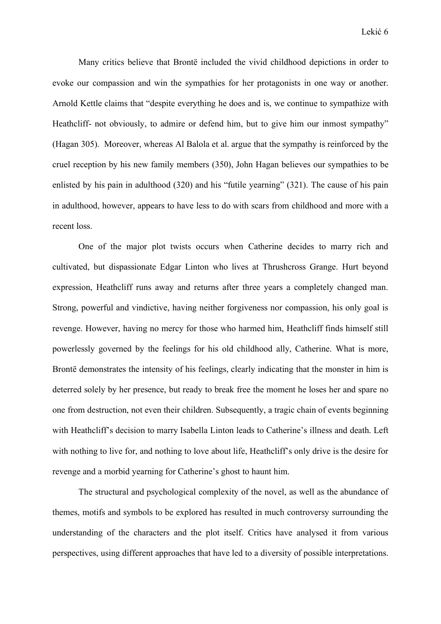Many critics believe that Brontë included the vivid childhood depictions in order to evoke our compassion and win the sympathies for her protagonists in one way or another. Arnold Kettle claims that "despite everything he does and is, we continue to sympathize with Heathcliff- not obviously, to admire or defend him, but to give him our inmost sympathy" (Hagan 305). Moreover, whereas Al Balola et al. argue that the sympathy is reinforced by the cruel reception by his new family members (350), John Hagan believes our sympathies to be enlisted by his pain in adulthood (320) and his "futile yearning" (321). The cause of his pain in adulthood, however, appears to have less to do with scars from childhood and more with a recent loss.

 One of the major plot twists occurs when Catherine decides to marry rich and cultivated, but dispassionate Edgar Linton who lives at Thrushcross Grange. Hurt beyond expression, Heathcliff runs away and returns after three years a completely changed man. Strong, powerful and vindictive, having neither forgiveness nor compassion, his only goal is revenge. However, having no mercy for those who harmed him, Heathcliff finds himself still powerlessly governed by the feelings for his old childhood ally, Catherine. What is more, Brontë demonstrates the intensity of his feelings, clearly indicating that the monster in him is deterred solely by her presence, but ready to break free the moment he loses her and spare no one from destruction, not even their children. Subsequently, a tragic chain of events beginning with Heathcliff's decision to marry Isabella Linton leads to Catherine's illness and death. Left with nothing to live for, and nothing to love about life, Heathcliff's only drive is the desire for revenge and a morbid yearning for Catherine's ghost to haunt him.

 The structural and psychological complexity of the novel, as well as the abundance of themes, motifs and symbols to be explored has resulted in much controversy surrounding the understanding of the characters and the plot itself. Critics have analysed it from various perspectives, using different approaches that have led to a diversity of possible interpretations.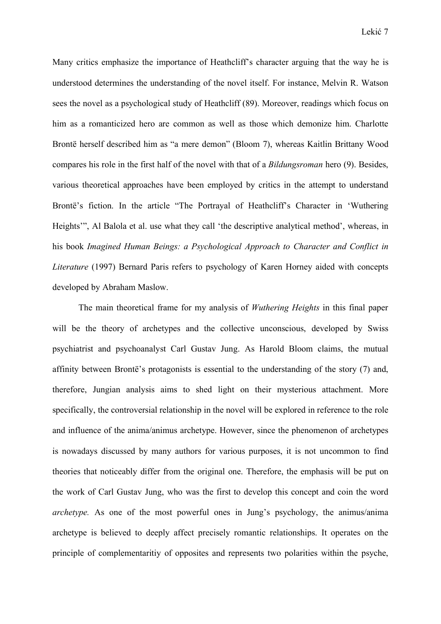Many critics emphasize the importance of Heathcliff's character arguing that the way he is understood determines the understanding of the novel itself. For instance, Melvin R. Watson sees the novel as a psychological study of Heathcliff (89). Moreover, readings which focus on him as a romanticized hero are common as well as those which demonize him. Charlotte Brontë herself described him as "a mere demon" (Bloom 7), whereas Kaitlin Brittany Wood compares his role in the first half of the novel with that of a *Bildungsroman* hero (9). Besides, various theoretical approaches have been employed by critics in the attempt to understand Brontë's fiction. In the article "The Portrayal of Heathcliff's Character in 'Wuthering Heights'", Al Balola et al. use what they call 'the descriptive analytical method', whereas, in his book *Imagined Human Beings: a Psychological Approach to Character and Conflict in Literature* (1997) Bernard Paris refers to psychology of Karen Horney aided with concepts developed by Abraham Maslow.

 The main theoretical frame for my analysis of *Wuthering Heights* in this final paper will be the theory of archetypes and the collective unconscious, developed by Swiss psychiatrist and psychoanalyst Carl Gustav Jung. As Harold Bloom claims, the mutual affinity between Brontë's protagonists is essential to the understanding of the story (7) and, therefore, Jungian analysis aims to shed light on their mysterious attachment. More specifically, the controversial relationship in the novel will be explored in reference to the role and influence of the anima/animus archetype. However, since the phenomenon of archetypes is nowadays discussed by many authors for various purposes, it is not uncommon to find theories that noticeably differ from the original one. Therefore, the emphasis will be put on the work of Carl Gustav Jung, who was the first to develop this concept and coin the word *archetype.* As one of the most powerful ones in Jung's psychology, the animus/anima archetype is believed to deeply affect precisely romantic relationships. It operates on the principle of complementaritiy of opposites and represents two polarities within the psyche,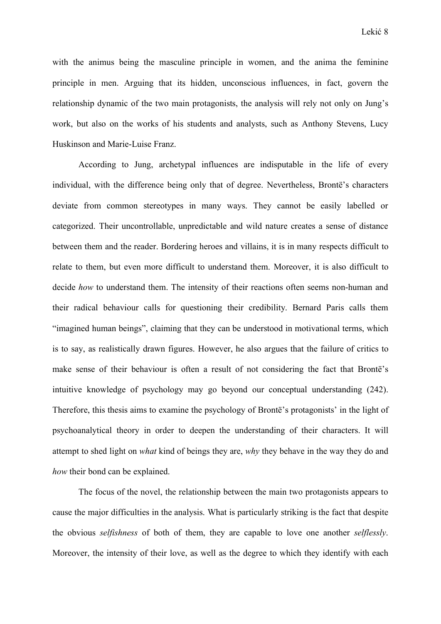with the animus being the masculine principle in women, and the anima the feminine principle in men. Arguing that its hidden, unconscious influences, in fact, govern the relationship dynamic of the two main protagonists, the analysis will rely not only on Jung's work, but also on the works of his students and analysts, such as Anthony Stevens, Lucy Huskinson and Marie-Luise Franz.

 According to Jung, archetypal influences are indisputable in the life of every individual, with the difference being only that of degree. Nevertheless, Brontë's characters deviate from common stereotypes in many ways. They cannot be easily labelled or categorized. Their uncontrollable, unpredictable and wild nature creates a sense of distance between them and the reader. Bordering heroes and villains, it is in many respects difficult to relate to them, but even more difficult to understand them. Moreover, it is also difficult to decide *how* to understand them. The intensity of their reactions often seems non-human and their radical behaviour calls for questioning their credibility. Bernard Paris calls them "imagined human beings", claiming that they can be understood in motivational terms, which is to say, as realistically drawn figures. However, he also argues that the failure of critics to make sense of their behaviour is often a result of not considering the fact that Brontë's intuitive knowledge of psychology may go beyond our conceptual understanding (242). Therefore, this thesis aims to examine the psychology of Brontë's protagonists' in the light of psychoanalytical theory in order to deepen the understanding of their characters. It will attempt to shed light on *what* kind of beings they are, *why* they behave in the way they do and *how* their bond can be explained.

 The focus of the novel, the relationship between the main two protagonists appears to cause the major difficulties in the analysis. What is particularly striking is the fact that despite the obvious *selfishness* of both of them, they are capable to love one another *selflessly*. Moreover, the intensity of their love, as well as the degree to which they identify with each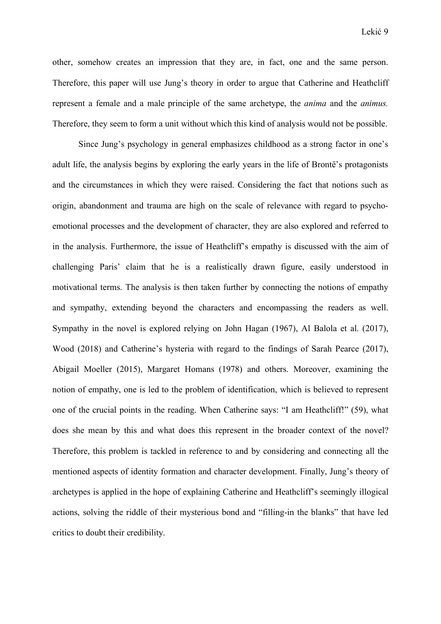other, somehow creates an impression that they are, in fact, one and the same person. Therefore, this paper will use Jung's theory in order to argue that Catherine and Heathcliff represent a female and a male principle of the same archetype, the *anima* and the *animus.*  Therefore, they seem to form a unit without which this kind of analysis would not be possible.

 Since Jung's psychology in general emphasizes childhood as a strong factor in one's adult life, the analysis begins by exploring the early years in the life of Brontë's protagonists and the circumstances in which they were raised. Considering the fact that notions such as origin, abandonment and trauma are high on the scale of relevance with regard to psychoemotional processes and the development of character, they are also explored and referred to in the analysis. Furthermore, the issue of Heathcliff's empathy is discussed with the aim of challenging Paris' claim that he is a realistically drawn figure, easily understood in motivational terms. The analysis is then taken further by connecting the notions of empathy and sympathy, extending beyond the characters and encompassing the readers as well. Sympathy in the novel is explored relying on John Hagan (1967), Al Balola et al. (2017), Wood (2018) and Catherine's hysteria with regard to the findings of Sarah Pearce (2017), Abigail Moeller (2015), Margaret Homans (1978) and others. Moreover, examining the notion of empathy, one is led to the problem of identification, which is believed to represent one of the crucial points in the reading. When Catherine says: "I am Heathcliff!" (59), what does she mean by this and what does this represent in the broader context of the novel? Therefore, this problem is tackled in reference to and by considering and connecting all the mentioned aspects of identity formation and character development. Finally, Jung's theory of archetypes is applied in the hope of explaining Catherine and Heathcliff's seemingly illogical actions, solving the riddle of their mysterious bond and "filling-in the blanks" that have led critics to doubt their credibility.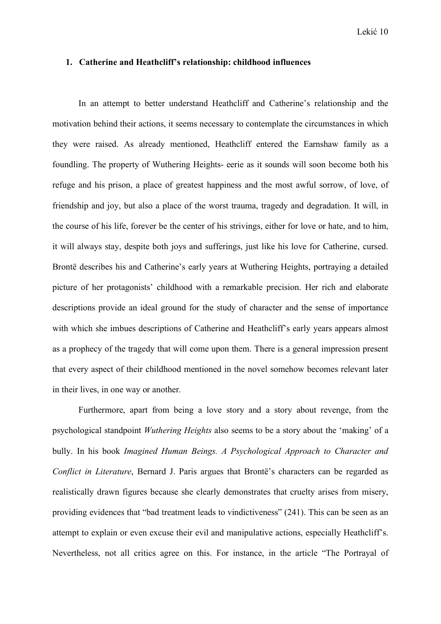#### **1. Catherine and Heathcliff's relationship: childhood influences**

 In an attempt to better understand Heathcliff and Catherine's relationship and the motivation behind their actions, it seems necessary to contemplate the circumstances in which they were raised. As already mentioned, Heathcliff entered the Earnshaw family as a foundling. The property of Wuthering Heights- eerie as it sounds will soon become both his refuge and his prison, a place of greatest happiness and the most awful sorrow, of love, of friendship and joy, but also a place of the worst trauma, tragedy and degradation. It will, in the course of his life, forever be the center of his strivings, either for love or hate, and to him, it will always stay, despite both joys and sufferings, just like his love for Catherine, cursed. Brontë describes his and Catherine's early years at Wuthering Heights, portraying a detailed picture of her protagonists' childhood with a remarkable precision. Her rich and elaborate descriptions provide an ideal ground for the study of character and the sense of importance with which she imbues descriptions of Catherine and Heathcliff's early years appears almost as a prophecy of the tragedy that will come upon them. There is a general impression present that every aspect of their childhood mentioned in the novel somehow becomes relevant later in their lives, in one way or another.

 Furthermore, apart from being a love story and a story about revenge, from the psychological standpoint *Wuthering Heights* also seems to be a story about the 'making' of a bully. In his book *Imagined Human Beings. A Psychological Approach to Character and Conflict in Literature*, Bernard J. Paris argues that Brontë's characters can be regarded as realistically drawn figures because she clearly demonstrates that cruelty arises from misery, providing evidences that "bad treatment leads to vindictiveness" (241). This can be seen as an attempt to explain or even excuse their evil and manipulative actions, especially Heathcliff's. Nevertheless, not all critics agree on this. For instance, in the article "The Portrayal of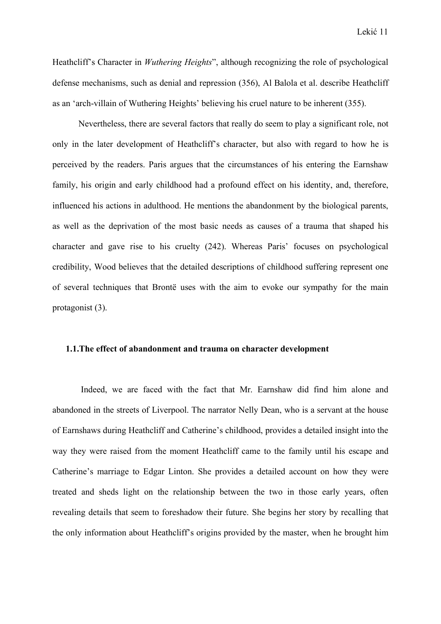Heathcliff's Character in *Wuthering Heights*", although recognizing the role of psychological defense mechanisms, such as denial and repression (356), Al Balola et al. describe Heathcliff as an 'arch-villain of Wuthering Heights' believing his cruel nature to be inherent (355).

 Nevertheless, there are several factors that really do seem to play a significant role, not only in the later development of Heathcliff's character, but also with regard to how he is perceived by the readers. Paris argues that the circumstances of his entering the Earnshaw family, his origin and early childhood had a profound effect on his identity, and, therefore, influenced his actions in adulthood. He mentions the abandonment by the biological parents, as well as the deprivation of the most basic needs as causes of a trauma that shaped his character and gave rise to his cruelty (242). Whereas Paris' focuses on psychological credibility, Wood believes that the detailed descriptions of childhood suffering represent one of several techniques that Brontë uses with the aim to evoke our sympathy for the main protagonist (3).

#### **1.1.The effect of abandonment and trauma on character development**

 Indeed, we are faced with the fact that Mr. Earnshaw did find him alone and abandoned in the streets of Liverpool. The narrator Nelly Dean, who is a servant at the house of Earnshaws during Heathcliff and Catherine's childhood, provides a detailed insight into the way they were raised from the moment Heathcliff came to the family until his escape and Catherine's marriage to Edgar Linton. She provides a detailed account on how they were treated and sheds light on the relationship between the two in those early years, often revealing details that seem to foreshadow their future. She begins her story by recalling that the only information about Heathcliff's origins provided by the master, when he brought him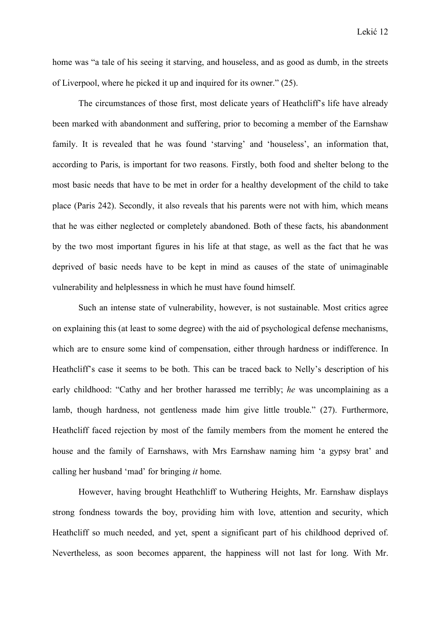home was "a tale of his seeing it starving, and houseless, and as good as dumb, in the streets of Liverpool, where he picked it up and inquired for its owner." (25).

 The circumstances of those first, most delicate years of Heathcliff's life have already been marked with abandonment and suffering, prior to becoming a member of the Earnshaw family. It is revealed that he was found 'starving' and 'houseless', an information that, according to Paris, is important for two reasons. Firstly, both food and shelter belong to the most basic needs that have to be met in order for a healthy development of the child to take place (Paris 242). Secondly, it also reveals that his parents were not with him, which means that he was either neglected or completely abandoned. Both of these facts, his abandonment by the two most important figures in his life at that stage, as well as the fact that he was deprived of basic needs have to be kept in mind as causes of the state of unimaginable vulnerability and helplessness in which he must have found himself.

 Such an intense state of vulnerability, however, is not sustainable. Most critics agree on explaining this (at least to some degree) with the aid of psychological defense mechanisms, which are to ensure some kind of compensation, either through hardness or indifference. In Heathcliff's case it seems to be both. This can be traced back to Nelly's description of his early childhood: "Cathy and her brother harassed me terribly; *he* was uncomplaining as a lamb, though hardness, not gentleness made him give little trouble." (27). Furthermore, Heathcliff faced rejection by most of the family members from the moment he entered the house and the family of Earnshaws, with Mrs Earnshaw naming him 'a gypsy brat' and calling her husband 'mad' for bringing *it* home.

 However, having brought Heathchliff to Wuthering Heights, Mr. Earnshaw displays strong fondness towards the boy, providing him with love, attention and security, which Heathcliff so much needed, and yet, spent a significant part of his childhood deprived of. Nevertheless, as soon becomes apparent, the happiness will not last for long. With Mr.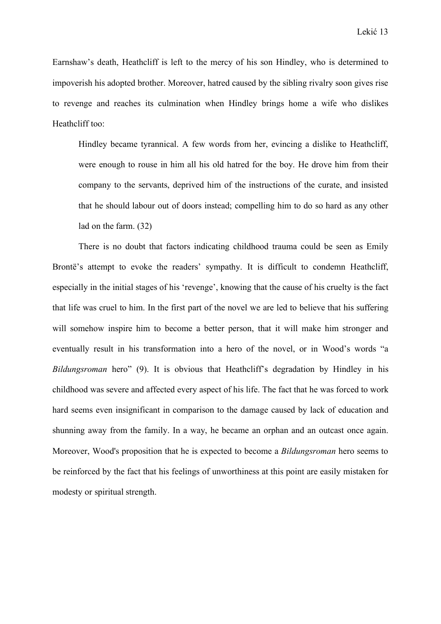Earnshaw's death, Heathcliff is left to the mercy of his son Hindley, who is determined to impoverish his adopted brother. Moreover, hatred caused by the sibling rivalry soon gives rise to revenge and reaches its culmination when Hindley brings home a wife who dislikes Heathcliff too:

Hindley became tyrannical. A few words from her, evincing a dislike to Heathcliff, were enough to rouse in him all his old hatred for the boy. He drove him from their company to the servants, deprived him of the instructions of the curate, and insisted that he should labour out of doors instead; compelling him to do so hard as any other lad on the farm. (32)

 There is no doubt that factors indicating childhood trauma could be seen as Emily Brontë's attempt to evoke the readers' sympathy. It is difficult to condemn Heathcliff, especially in the initial stages of his 'revenge', knowing that the cause of his cruelty is the fact that life was cruel to him. In the first part of the novel we are led to believe that his suffering will somehow inspire him to become a better person, that it will make him stronger and eventually result in his transformation into a hero of the novel, or in Wood's words "a *Bildungsroman* hero" (9). It is obvious that Heathcliff's degradation by Hindley in his childhood was severe and affected every aspect of his life. The fact that he was forced to work hard seems even insignificant in comparison to the damage caused by lack of education and shunning away from the family. In a way, he became an orphan and an outcast once again. Moreover, Wood's proposition that he is expected to become a *Bildungsroman* hero seems to be reinforced by the fact that his feelings of unworthiness at this point are easily mistaken for modesty or spiritual strength.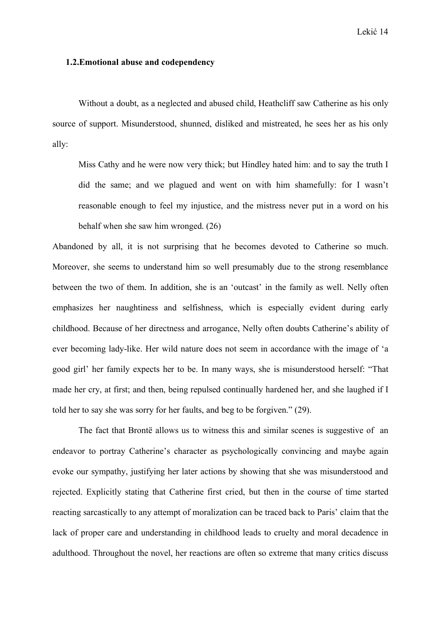#### Lekić 14

#### **1.2.Emotional abuse and codependency**

 Without a doubt, as a neglected and abused child, Heathcliff saw Catherine as his only source of support. Misunderstood, shunned, disliked and mistreated, he sees her as his only ally:

Miss Cathy and he were now very thick; but Hindley hated him: and to say the truth I did the same; and we plagued and went on with him shamefully: for I wasn't reasonable enough to feel my injustice, and the mistress never put in a word on his behalf when she saw him wronged. (26)

Abandoned by all, it is not surprising that he becomes devoted to Catherine so much. Moreover, she seems to understand him so well presumably due to the strong resemblance between the two of them. In addition, she is an 'outcast' in the family as well. Nelly often emphasizes her naughtiness and selfishness, which is especially evident during early childhood. Because of her directness and arrogance, Nelly often doubts Catherine's ability of ever becoming lady-like. Her wild nature does not seem in accordance with the image of 'a good girl' her family expects her to be. In many ways, she is misunderstood herself: "That made her cry, at first; and then, being repulsed continually hardened her, and she laughed if I told her to say she was sorry for her faults, and beg to be forgiven." (29).

 The fact that Brontë allows us to witness this and similar scenes is suggestive of an endeavor to portray Catherine's character as psychologically convincing and maybe again evoke our sympathy, justifying her later actions by showing that she was misunderstood and rejected. Explicitly stating that Catherine first cried, but then in the course of time started reacting sarcastically to any attempt of moralization can be traced back to Paris' claim that the lack of proper care and understanding in childhood leads to cruelty and moral decadence in adulthood. Throughout the novel, her reactions are often so extreme that many critics discuss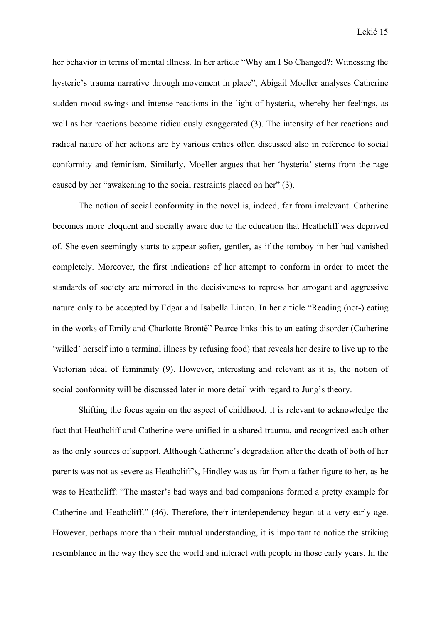her behavior in terms of mental illness. In her article "Why am I So Changed?: Witnessing the hysteric's trauma narrative through movement in place", Abigail Moeller analyses Catherine sudden mood swings and intense reactions in the light of hysteria, whereby her feelings, as well as her reactions become ridiculously exaggerated (3). The intensity of her reactions and radical nature of her actions are by various critics often discussed also in reference to social conformity and feminism. Similarly, Moeller argues that her 'hysteria' stems from the rage caused by her "awakening to the social restraints placed on her" (3).

 The notion of social conformity in the novel is, indeed, far from irrelevant. Catherine becomes more eloquent and socially aware due to the education that Heathcliff was deprived of. She even seemingly starts to appear softer, gentler, as if the tomboy in her had vanished completely. Moreover, the first indications of her attempt to conform in order to meet the standards of society are mirrored in the decisiveness to repress her arrogant and aggressive nature only to be accepted by Edgar and Isabella Linton. In her article "Reading (not-) eating in the works of Emily and Charlotte Brontë" Pearce links this to an eating disorder (Catherine 'willed' herself into a terminal illness by refusing food) that reveals her desire to live up to the Victorian ideal of femininity (9). However, interesting and relevant as it is, the notion of social conformity will be discussed later in more detail with regard to Jung's theory.

 Shifting the focus again on the aspect of childhood, it is relevant to acknowledge the fact that Heathcliff and Catherine were unified in a shared trauma, and recognized each other as the only sources of support. Although Catherine's degradation after the death of both of her parents was not as severe as Heathcliff's, Hindley was as far from a father figure to her, as he was to Heathcliff: "The master's bad ways and bad companions formed a pretty example for Catherine and Heathcliff." (46). Therefore, their interdependency began at a very early age. However, perhaps more than their mutual understanding, it is important to notice the striking resemblance in the way they see the world and interact with people in those early years. In the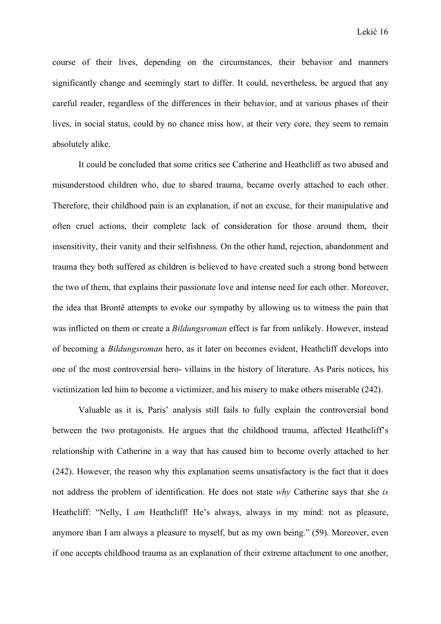course of their lives, depending on the circumstances, their behavior and manners significantly change and seemingly start to differ. It could, nevertheless, be argued that any careful reader, regardless of the differences in their behavior, and at various phases of their lives, in social status, could by no chance miss how, at their very core, they seem to remain absolutely alike.

 It could be concluded that some critics see Catherine and Heathcliff as two abused and misunderstood children who, due to shared trauma, became overly attached to each other. Therefore, their childhood pain is an explanation, if not an excuse, for their manipulative and often cruel actions, their complete lack of consideration for those around them, their insensitivity, their vanity and their selfishness. On the other hand, rejection, abandonment and trauma they both suffered as children is believed to have created such a strong bond between the two of them, that explains their passionate love and intense need for each other. Moreover, the idea that Brontë attempts to evoke our sympathy by allowing us to witness the pain that was inflicted on them or create a *Bildungsroman* effect is far from unlikely. However, instead of becoming a *Bildungsroman* hero, as it later on becomes evident, Heathcliff develops into one of the most controversial hero- villains in the history of literature. As Paris notices, his victimization led him to become a victimizer, and his misery to make others miserable (242).

 Valuable as it is, Paris' analysis still fails to fully explain the controversial bond between the two protagonists. He argues that the childhood trauma, affected Heathcliff's relationship with Catherine in a way that has caused him to become overly attached to her (242). However, the reason why this explanation seems unsatisfactory is the fact that it does not address the problem of identification. He does not state *why* Catherine says that she *is*  Heathcliff: "Nelly, I *am* Heathcliff! He's always, always in my mind: not as pleasure, anymore than I am always a pleasure to myself, but as my own being." (59). Moreover, even if one accepts childhood trauma as an explanation of their extreme attachment to one another,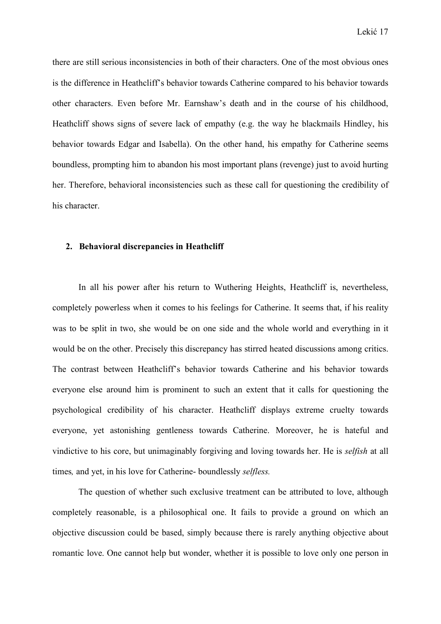there are still serious inconsistencies in both of their characters. One of the most obvious ones is the difference in Heathcliff's behavior towards Catherine compared to his behavior towards other characters. Even before Mr. Earnshaw's death and in the course of his childhood, Heathcliff shows signs of severe lack of empathy (e.g. the way he blackmails Hindley, his behavior towards Edgar and Isabella). On the other hand, his empathy for Catherine seems boundless, prompting him to abandon his most important plans (revenge) just to avoid hurting her. Therefore, behavioral inconsistencies such as these call for questioning the credibility of his character.

#### **2. Behavioral discrepancies in Heathcliff**

 In all his power after his return to Wuthering Heights, Heathcliff is, nevertheless, completely powerless when it comes to his feelings for Catherine. It seems that, if his reality was to be split in two, she would be on one side and the whole world and everything in it would be on the other. Precisely this discrepancy has stirred heated discussions among critics. The contrast between Heathcliff's behavior towards Catherine and his behavior towards everyone else around him is prominent to such an extent that it calls for questioning the psychological credibility of his character. Heathcliff displays extreme cruelty towards everyone, yet astonishing gentleness towards Catherine. Moreover, he is hateful and vindictive to his core, but unimaginably forgiving and loving towards her. He is *selfish* at all times*,* and yet, in his love for Catherine- boundlessly *selfless.*

 The question of whether such exclusive treatment can be attributed to love, although completely reasonable, is a philosophical one. It fails to provide a ground on which an objective discussion could be based, simply because there is rarely anything objective about romantic love. One cannot help but wonder, whether it is possible to love only one person in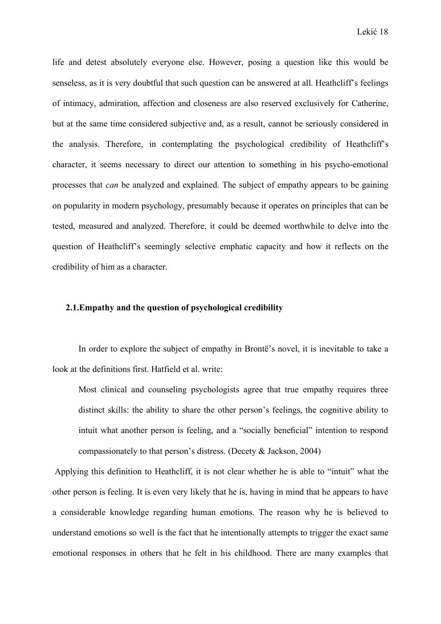life and detest absolutely everyone else. However, posing a question like this would be senseless, as it is very doubtful that such question can be answered at all. Heathcliff's feelings of intimacy, admiration, affection and closeness are also reserved exclusively for Catherine, but at the same time considered subjective and, as a result, cannot be seriously considered in the analysis. Therefore, in contemplating the psychological credibility of Heathcliff's character, it seems necessary to direct our attention to something in his psycho-emotional processes that *can* be analyzed and explained. The subject of empathy appears to be gaining on popularity in modern psychology, presumably because it operates on principles that can be tested, measured and analyzed. Therefore, it could be deemed worthwhile to delve into the question of Heathcliff's seemingly selective emphatic capacity and how it reflects on the credibility of him as a character.

#### **2.1.Empathy and the question of psychological credibility**

 In order to explore the subject of empathy in Brontë's novel, it is inevitable to take a look at the definitions first. Hatfield et al. write:

Most clinical and counseling psychologists agree that true empathy requires three distinct skills: the ability to share the other person's feelings, the cognitive ability to intuit what another person is feeling, and a "socially beneficial" intention to respond compassionately to that person's distress. (Decety & Jackson, 2004)

 Applying this definition to Heathcliff, it is not clear whether he is able to "intuit" what the other person is feeling. It is even very likely that he is, having in mind that he appears to have a considerable knowledge regarding human emotions. The reason why he is believed to understand emotions so well is the fact that he intentionally attempts to trigger the exact same emotional responses in others that he felt in his childhood. There are many examples that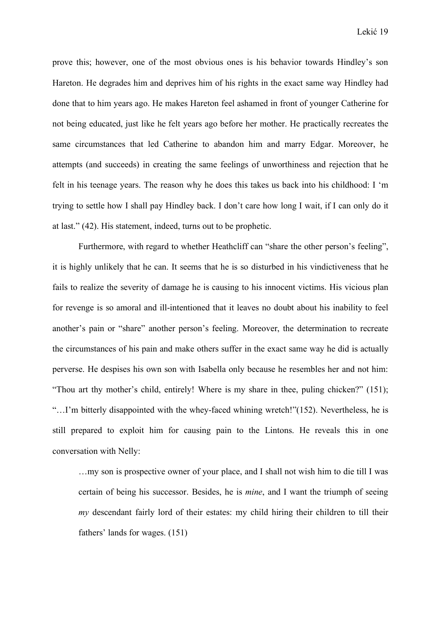prove this; however, one of the most obvious ones is his behavior towards Hindley's son Hareton. He degrades him and deprives him of his rights in the exact same way Hindley had done that to him years ago. He makes Hareton feel ashamed in front of younger Catherine for not being educated, just like he felt years ago before her mother. He practically recreates the same circumstances that led Catherine to abandon him and marry Edgar. Moreover, he attempts (and succeeds) in creating the same feelings of unworthiness and rejection that he felt in his teenage years. The reason why he does this takes us back into his childhood: I 'm trying to settle how I shall pay Hindley back. I don't care how long I wait, if I can only do it at last." (42). His statement, indeed, turns out to be prophetic.

 Furthermore, with regard to whether Heathcliff can "share the other person's feeling", it is highly unlikely that he can. It seems that he is so disturbed in his vindictiveness that he fails to realize the severity of damage he is causing to his innocent victims. His vicious plan for revenge is so amoral and ill-intentioned that it leaves no doubt about his inability to feel another's pain or "share" another person's feeling. Moreover, the determination to recreate the circumstances of his pain and make others suffer in the exact same way he did is actually perverse. He despises his own son with Isabella only because he resembles her and not him: "Thou art thy mother's child, entirely! Where is my share in thee, puling chicken?" (151); "…I'm bitterly disappointed with the whey-faced whining wretch!"(152). Nevertheless, he is still prepared to exploit him for causing pain to the Lintons. He reveals this in one conversation with Nelly:

…my son is prospective owner of your place, and I shall not wish him to die till I was certain of being his successor. Besides, he is *mine*, and I want the triumph of seeing *my* descendant fairly lord of their estates: my child hiring their children to till their fathers' lands for wages. (151)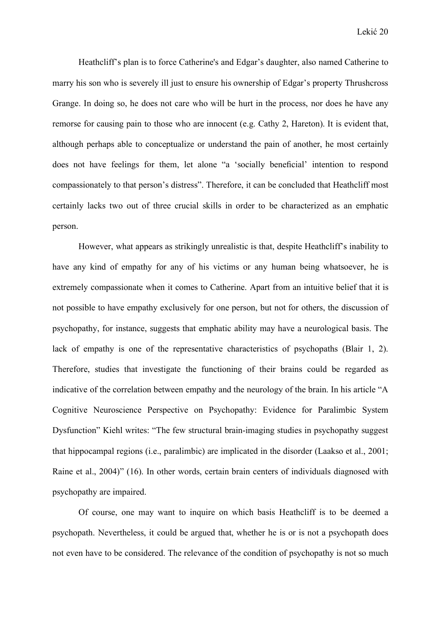Heathcliff's plan is to force Catherine's and Edgar's daughter, also named Catherine to marry his son who is severely ill just to ensure his ownership of Edgar's property Thrushcross Grange. In doing so, he does not care who will be hurt in the process, nor does he have any remorse for causing pain to those who are innocent (e.g. Cathy 2, Hareton). It is evident that, although perhaps able to conceptualize or understand the pain of another, he most certainly does not have feelings for them, let alone "a 'socially beneficial' intention to respond compassionately to that person's distress". Therefore, it can be concluded that Heathcliff most certainly lacks two out of three crucial skills in order to be characterized as an emphatic person.

 However, what appears as strikingly unrealistic is that, despite Heathcliff's inability to have any kind of empathy for any of his victims or any human being whatsoever, he is extremely compassionate when it comes to Catherine. Apart from an intuitive belief that it is not possible to have empathy exclusively for one person, but not for others, the discussion of psychopathy, for instance, suggests that emphatic ability may have a neurological basis. The lack of empathy is one of the representative characteristics of psychopaths (Blair 1, 2). Therefore, studies that investigate the functioning of their brains could be regarded as indicative of the correlation between empathy and the neurology of the brain. In his article "A Cognitive Neuroscience Perspective on Psychopathy: Evidence for Paralimbic System Dysfunction" Kiehl writes: "The few structural brain-imaging studies in psychopathy suggest that hippocampal regions (i.e., paralimbic) are implicated in the disorder (Laakso et al., 2001; Raine et al., 2004)" (16). In other words, certain brain centers of individuals diagnosed with psychopathy are impaired.

 Of course, one may want to inquire on which basis Heathcliff is to be deemed a psychopath. Nevertheless, it could be argued that, whether he is or is not a psychopath does not even have to be considered. The relevance of the condition of psychopathy is not so much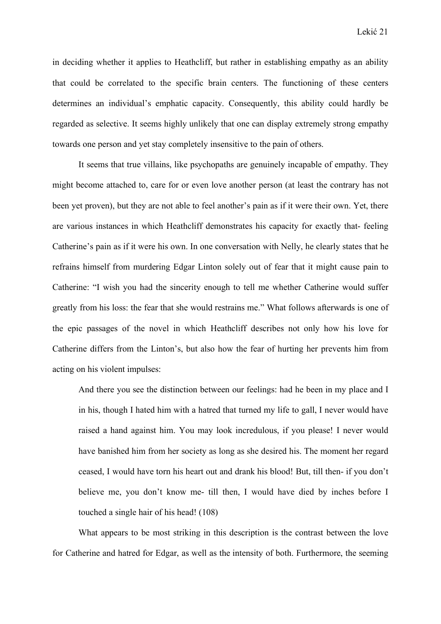in deciding whether it applies to Heathcliff, but rather in establishing empathy as an ability that could be correlated to the specific brain centers. The functioning of these centers determines an individual's emphatic capacity. Consequently, this ability could hardly be regarded as selective. It seems highly unlikely that one can display extremely strong empathy towards one person and yet stay completely insensitive to the pain of others.

 It seems that true villains, like psychopaths are genuinely incapable of empathy. They might become attached to, care for or even love another person (at least the contrary has not been yet proven), but they are not able to feel another's pain as if it were their own. Yet, there are various instances in which Heathcliff demonstrates his capacity for exactly that- feeling Catherine's pain as if it were his own. In one conversation with Nelly, he clearly states that he refrains himself from murdering Edgar Linton solely out of fear that it might cause pain to Catherine: "I wish you had the sincerity enough to tell me whether Catherine would suffer greatly from his loss: the fear that she would restrains me." What follows afterwards is one of the epic passages of the novel in which Heathcliff describes not only how his love for Catherine differs from the Linton's, but also how the fear of hurting her prevents him from acting on his violent impulses:

And there you see the distinction between our feelings: had he been in my place and I in his, though I hated him with a hatred that turned my life to gall, I never would have raised a hand against him. You may look incredulous, if you please! I never would have banished him from her society as long as she desired his. The moment her regard ceased, I would have torn his heart out and drank his blood! But, till then- if you don't believe me, you don't know me- till then, I would have died by inches before I touched a single hair of his head! (108)

 What appears to be most striking in this description is the contrast between the love for Catherine and hatred for Edgar, as well as the intensity of both. Furthermore, the seeming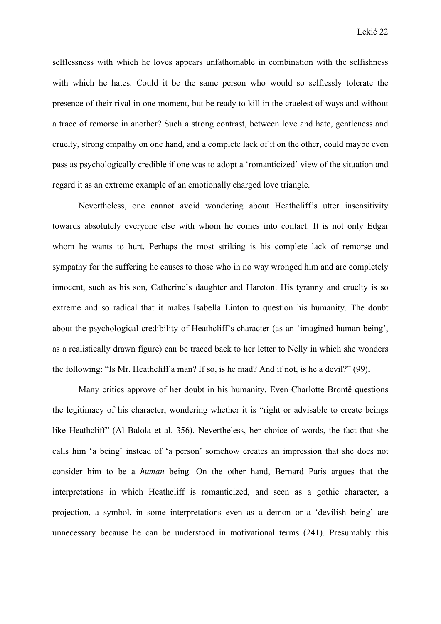selflessness with which he loves appears unfathomable in combination with the selfishness with which he hates. Could it be the same person who would so selflessly tolerate the presence of their rival in one moment, but be ready to kill in the cruelest of ways and without a trace of remorse in another? Such a strong contrast, between love and hate, gentleness and cruelty, strong empathy on one hand, and a complete lack of it on the other, could maybe even pass as psychologically credible if one was to adopt a 'romanticized' view of the situation and regard it as an extreme example of an emotionally charged love triangle.

 Nevertheless, one cannot avoid wondering about Heathcliff's utter insensitivity towards absolutely everyone else with whom he comes into contact. It is not only Edgar whom he wants to hurt. Perhaps the most striking is his complete lack of remorse and sympathy for the suffering he causes to those who in no way wronged him and are completely innocent, such as his son, Catherine's daughter and Hareton. His tyranny and cruelty is so extreme and so radical that it makes Isabella Linton to question his humanity. The doubt about the psychological credibility of Heathcliff's character (as an 'imagined human being', as a realistically drawn figure) can be traced back to her letter to Nelly in which she wonders the following: "Is Mr. Heathcliff a man? If so, is he mad? And if not, is he a devil?" (99).

 Many critics approve of her doubt in his humanity. Even Charlotte Brontë questions the legitimacy of his character, wondering whether it is "right or advisable to create beings like Heathcliff" (Al Balola et al. 356). Nevertheless, her choice of words, the fact that she calls him 'a being' instead of 'a person' somehow creates an impression that she does not consider him to be a *human* being. On the other hand, Bernard Paris argues that the interpretations in which Heathcliff is romanticized, and seen as a gothic character, a projection, a symbol, in some interpretations even as a demon or a 'devilish being' are unnecessary because he can be understood in motivational terms (241). Presumably this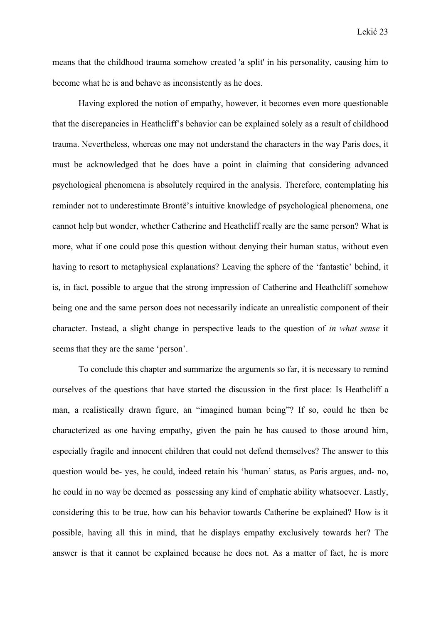means that the childhood trauma somehow created 'a split' in his personality, causing him to become what he is and behave as inconsistently as he does.

 Having explored the notion of empathy, however, it becomes even more questionable that the discrepancies in Heathcliff's behavior can be explained solely as a result of childhood trauma. Nevertheless, whereas one may not understand the characters in the way Paris does, it must be acknowledged that he does have a point in claiming that considering advanced psychological phenomena is absolutely required in the analysis. Therefore, contemplating his reminder not to underestimate Brontë's intuitive knowledge of psychological phenomena, one cannot help but wonder, whether Catherine and Heathcliff really are the same person? What is more, what if one could pose this question without denying their human status, without even having to resort to metaphysical explanations? Leaving the sphere of the 'fantastic' behind, it is, in fact, possible to argue that the strong impression of Catherine and Heathcliff somehow being one and the same person does not necessarily indicate an unrealistic component of their character. Instead, a slight change in perspective leads to the question of *in what sense* it seems that they are the same 'person'.

 To conclude this chapter and summarize the arguments so far, it is necessary to remind ourselves of the questions that have started the discussion in the first place: Is Heathcliff a man, a realistically drawn figure, an "imagined human being"? If so, could he then be characterized as one having empathy, given the pain he has caused to those around him, especially fragile and innocent children that could not defend themselves? The answer to this question would be- yes, he could, indeed retain his 'human' status, as Paris argues, and- no, he could in no way be deemed as possessing any kind of emphatic ability whatsoever. Lastly, considering this to be true, how can his behavior towards Catherine be explained? How is it possible, having all this in mind, that he displays empathy exclusively towards her? The answer is that it cannot be explained because he does not. As a matter of fact, he is more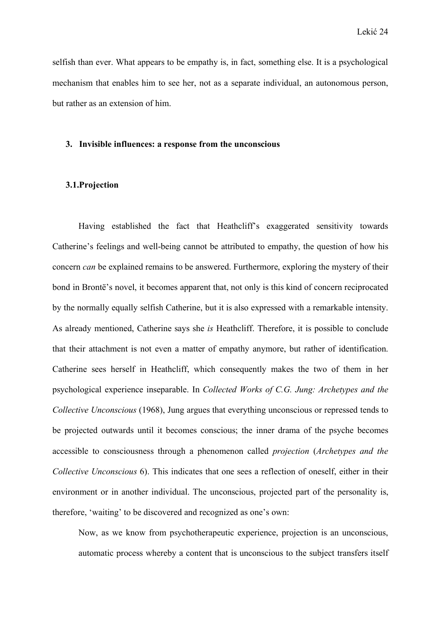selfish than ever. What appears to be empathy is, in fact, something else. It is a psychological mechanism that enables him to see her, not as a separate individual, an autonomous person, but rather as an extension of him.

#### **3. Invisible influences: a response from the unconscious**

#### **3.1.Projection**

 Having established the fact that Heathcliff's exaggerated sensitivity towards Catherine's feelings and well-being cannot be attributed to empathy, the question of how his concern *can* be explained remains to be answered. Furthermore, exploring the mystery of their bond in Brontë's novel, it becomes apparent that, not only is this kind of concern reciprocated by the normally equally selfish Catherine, but it is also expressed with a remarkable intensity. As already mentioned, Catherine says she *is* Heathcliff. Therefore, it is possible to conclude that their attachment is not even a matter of empathy anymore, but rather of identification. Catherine sees herself in Heathcliff, which consequently makes the two of them in her psychological experience inseparable. In *Collected Works of C.G. Jung: Archetypes and the Collective Unconscious* (1968), Jung argues that everything unconscious or repressed tends to be projected outwards until it becomes conscious; the inner drama of the psyche becomes accessible to consciousness through a phenomenon called *projection* (*Archetypes and the Collective Unconscious* 6). This indicates that one sees a reflection of oneself, either in their environment or in another individual. The unconscious, projected part of the personality is, therefore, 'waiting' to be discovered and recognized as one's own:

Now, as we know from psychotherapeutic experience, projection is an unconscious, automatic process whereby a content that is unconscious to the subject transfers itself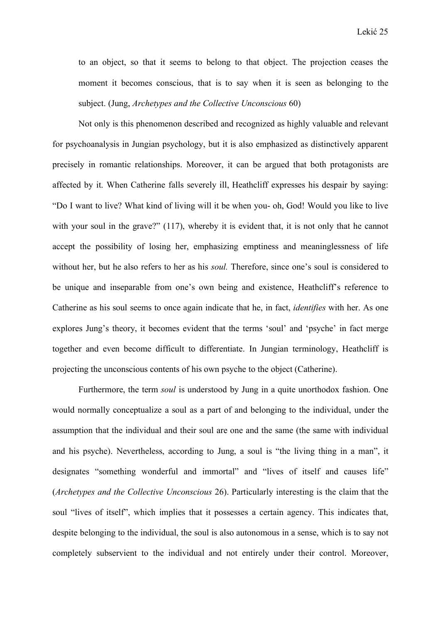to an object, so that it seems to belong to that object. The projection ceases the moment it becomes conscious, that is to say when it is seen as belonging to the subject. (Jung, *Archetypes and the Collective Unconscious* 60)

 Not only is this phenomenon described and recognized as highly valuable and relevant for psychoanalysis in Jungian psychology, but it is also emphasized as distinctively apparent precisely in romantic relationships. Moreover, it can be argued that both protagonists are affected by it. When Catherine falls severely ill, Heathcliff expresses his despair by saying: "Do I want to live? What kind of living will it be when you- oh, God! Would you like to live with your soul in the grave?" (117), whereby it is evident that, it is not only that he cannot accept the possibility of losing her, emphasizing emptiness and meaninglessness of life without her, but he also refers to her as his *soul.* Therefore, since one's soul is considered to be unique and inseparable from one's own being and existence, Heathcliff's reference to Catherine as his soul seems to once again indicate that he, in fact, *identifies* with her. As one explores Jung's theory, it becomes evident that the terms 'soul' and 'psyche' in fact merge together and even become difficult to differentiate. In Jungian terminology, Heathcliff is projecting the unconscious contents of his own psyche to the object (Catherine).

Furthermore, the term *soul* is understood by Jung in a quite unorthodox fashion. One would normally conceptualize a soul as a part of and belonging to the individual, under the assumption that the individual and their soul are one and the same (the same with individual and his psyche). Nevertheless, according to Jung, a soul is "the living thing in a man", it designates "something wonderful and immortal" and "lives of itself and causes life" (*Archetypes and the Collective Unconscious* 26). Particularly interesting is the claim that the soul "lives of itself", which implies that it possesses a certain agency. This indicates that, despite belonging to the individual, the soul is also autonomous in a sense, which is to say not completely subservient to the individual and not entirely under their control. Moreover,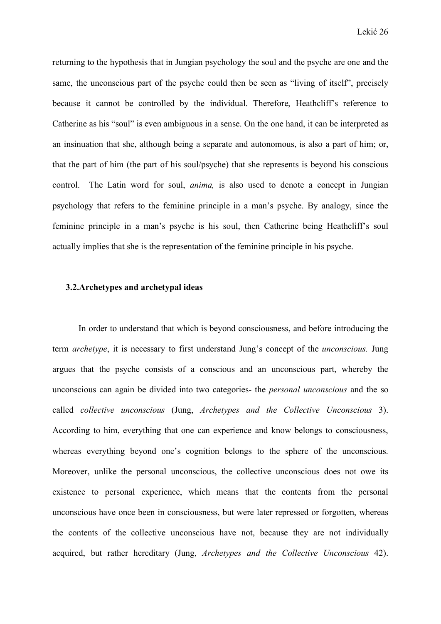returning to the hypothesis that in Jungian psychology the soul and the psyche are one and the same, the unconscious part of the psyche could then be seen as "living of itself", precisely because it cannot be controlled by the individual. Therefore, Heathcliff's reference to Catherine as his "soul" is even ambiguous in a sense. On the one hand, it can be interpreted as an insinuation that she, although being a separate and autonomous, is also a part of him; or, that the part of him (the part of his soul/psyche) that she represents is beyond his conscious control. The Latin word for soul, *anima,* is also used to denote a concept in Jungian psychology that refers to the feminine principle in a man's psyche. By analogy, since the feminine principle in a man's psyche is his soul, then Catherine being Heathcliff's soul actually implies that she is the representation of the feminine principle in his psyche.

#### **3.2.Archetypes and archetypal ideas**

 In order to understand that which is beyond consciousness, and before introducing the term *archetype*, it is necessary to first understand Jung's concept of the *unconscious.* Jung argues that the psyche consists of a conscious and an unconscious part, whereby the unconscious can again be divided into two categories- the *personal unconscious* and the so called *collective unconscious* (Jung, *Archetypes and the Collective Unconscious* 3). According to him, everything that one can experience and know belongs to consciousness, whereas everything beyond one's cognition belongs to the sphere of the unconscious. Moreover, unlike the personal unconscious, the collective unconscious does not owe its existence to personal experience, which means that the contents from the personal unconscious have once been in consciousness, but were later repressed or forgotten, whereas the contents of the collective unconscious have not, because they are not individually acquired, but rather hereditary (Jung, *Archetypes and the Collective Unconscious* 42).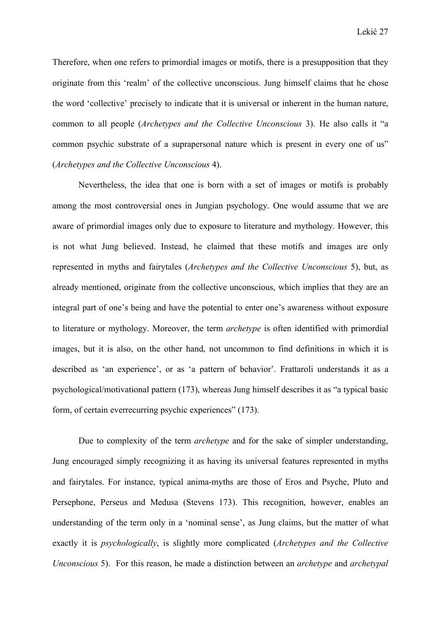Therefore, when one refers to primordial images or motifs, there is a presupposition that they originate from this 'realm' of the collective unconscious. Jung himself claims that he chose the word 'collective' precisely to indicate that it is universal or inherent in the human nature, common to all people (*Archetypes and the Collective Unconscious* 3). He also calls it "a common psychic substrate of a suprapersonal nature which is present in every one of us" (*Archetypes and the Collective Unconscious* 4).

 Nevertheless, the idea that one is born with a set of images or motifs is probably among the most controversial ones in Jungian psychology. One would assume that we are aware of primordial images only due to exposure to literature and mythology. However, this is not what Jung believed. Instead, he claimed that these motifs and images are only represented in myths and fairytales (*Archetypes and the Collective Unconscious* 5), but, as already mentioned, originate from the collective unconscious, which implies that they are an integral part of one's being and have the potential to enter one's awareness without exposure to literature or mythology. Moreover, the term *archetype* is often identified with primordial images, but it is also, on the other hand, not uncommon to find definitions in which it is described as 'an experience', or as 'a pattern of behavior'. Frattaroli understands it as a psychological/motivational pattern (173), whereas Jung himself describes it as "a typical basic form, of certain everrecurring psychic experiences" (173).

Due to complexity of the term *archetype* and for the sake of simpler understanding, Jung encouraged simply recognizing it as having its universal features represented in myths and fairytales. For instance, typical anima-myths are those of Eros and Psyche, Pluto and Persephone, Perseus and Medusa (Stevens 173). This recognition, however, enables an understanding of the term only in a 'nominal sense', as Jung claims, but the matter of what exactly it is *psychologically*, is slightly more complicated (*Archetypes and the Collective Unconscious* 5). For this reason, he made a distinction between an *archetype* and *archetypal*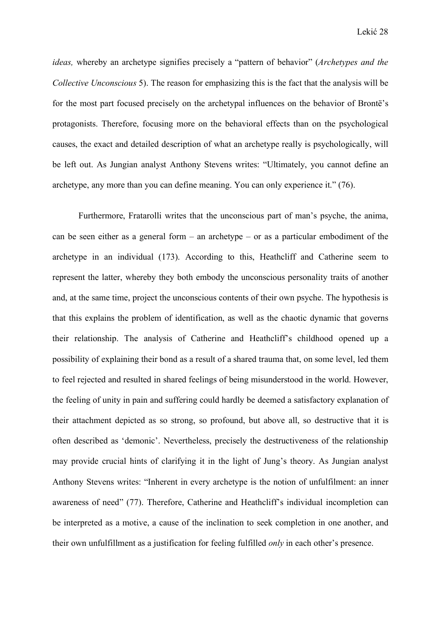*ideas,* whereby an archetype signifies precisely a "pattern of behavior" (*Archetypes and the Collective Unconscious* 5). The reason for emphasizing this is the fact that the analysis will be for the most part focused precisely on the archetypal influences on the behavior of Brontë's protagonists. Therefore, focusing more on the behavioral effects than on the psychological causes, the exact and detailed description of what an archetype really is psychologically, will be left out. As Jungian analyst Anthony Stevens writes: "Ultimately, you cannot define an archetype, any more than you can define meaning. You can only experience it." (76).

 Furthermore, Fratarolli writes that the unconscious part of man's psyche, the anima, can be seen either as a general form  $-$  an archetype  $-$  or as a particular embodiment of the archetype in an individual (173). According to this, Heathcliff and Catherine seem to represent the latter, whereby they both embody the unconscious personality traits of another and, at the same time, project the unconscious contents of their own psyche. The hypothesis is that this explains the problem of identification, as well as the chaotic dynamic that governs their relationship. The analysis of Catherine and Heathcliff's childhood opened up a possibility of explaining their bond as a result of a shared trauma that, on some level, led them to feel rejected and resulted in shared feelings of being misunderstood in the world. However, the feeling of unity in pain and suffering could hardly be deemed a satisfactory explanation of their attachment depicted as so strong, so profound, but above all, so destructive that it is often described as 'demonic'. Nevertheless, precisely the destructiveness of the relationship may provide crucial hints of clarifying it in the light of Jung's theory. As Jungian analyst Anthony Stevens writes: "Inherent in every archetype is the notion of unfulfilment: an inner awareness of need" (77). Therefore, Catherine and Heathcliff's individual incompletion can be interpreted as a motive, a cause of the inclination to seek completion in one another, and their own unfulfillment as a justification for feeling fulfilled *only* in each other's presence.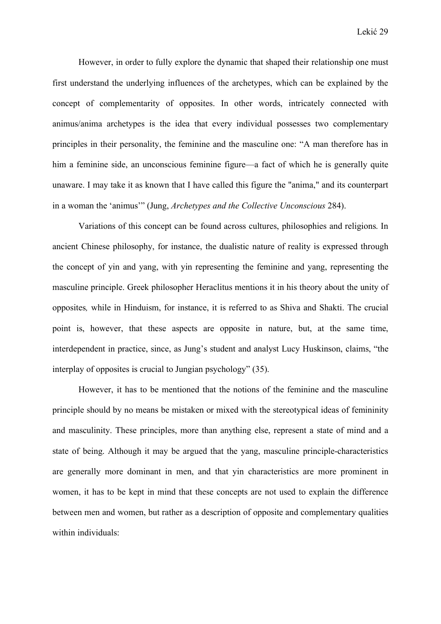However, in order to fully explore the dynamic that shaped their relationship one must first understand the underlying influences of the archetypes, which can be explained by the concept of complementarity of opposites. In other words, intricately connected with animus/anima archetypes is the idea that every individual possesses two complementary principles in their personality, the feminine and the masculine one: "A man therefore has in him a feminine side, an unconscious feminine figure—a fact of which he is generally quite unaware. I may take it as known that I have called this figure the "anima," and its counterpart in a woman the 'animus'" (Jung, *Archetypes and the Collective Unconscious* 284).

 Variations of this concept can be found across cultures, philosophies and religions. In ancient Chinese philosophy, for instance, the dualistic nature of reality is expressed through the concept of yin and yang, with yin representing the feminine and yang, representing the masculine principle. Greek philosopher Heraclitus mentions it in his theory about the unity of opposites*,* while in Hinduism, for instance, it is referred to as Shiva and Shakti. The crucial point is, however, that these aspects are opposite in nature, but, at the same time, interdependent in practice, since, as Jung's student and analyst Lucy Huskinson, claims, "the interplay of opposites is crucial to Jungian psychology" (35).

 However, it has to be mentioned that the notions of the feminine and the masculine principle should by no means be mistaken or mixed with the stereotypical ideas of femininity and masculinity. These principles, more than anything else, represent a state of mind and a state of being. Although it may be argued that the yang, masculine principle-characteristics are generally more dominant in men, and that yin characteristics are more prominent in women, it has to be kept in mind that these concepts are not used to explain the difference between men and women, but rather as a description of opposite and complementary qualities within individuals: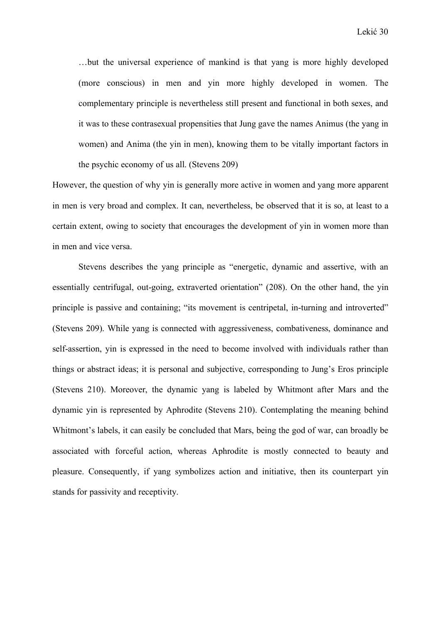…but the universal experience of mankind is that yang is more highly developed (more conscious) in men and yin more highly developed in women. The complementary principle is nevertheless still present and functional in both sexes, and it was to these contrasexual propensities that Jung gave the names Animus (the yang in women) and Anima (the yin in men), knowing them to be vitally important factors in the psychic economy of us all. (Stevens 209)

However, the question of why yin is generally more active in women and yang more apparent in men is very broad and complex. It can, nevertheless, be observed that it is so, at least to a certain extent, owing to society that encourages the development of yin in women more than in men and vice versa.

 Stevens describes the yang principle as "energetic, dynamic and assertive, with an essentially centrifugal, out-going, extraverted orientation" (208). On the other hand, the yin principle is passive and containing; "its movement is centripetal, in-turning and introverted" (Stevens 209). While yang is connected with aggressiveness, combativeness, dominance and self-assertion, yin is expressed in the need to become involved with individuals rather than things or abstract ideas; it is personal and subjective, corresponding to Jung's Eros principle (Stevens 210). Moreover, the dynamic yang is labeled by Whitmont after Mars and the dynamic yin is represented by Aphrodite (Stevens 210). Contemplating the meaning behind Whitmont's labels, it can easily be concluded that Mars, being the god of war, can broadly be associated with forceful action, whereas Aphrodite is mostly connected to beauty and pleasure. Consequently, if yang symbolizes action and initiative, then its counterpart yin stands for passivity and receptivity.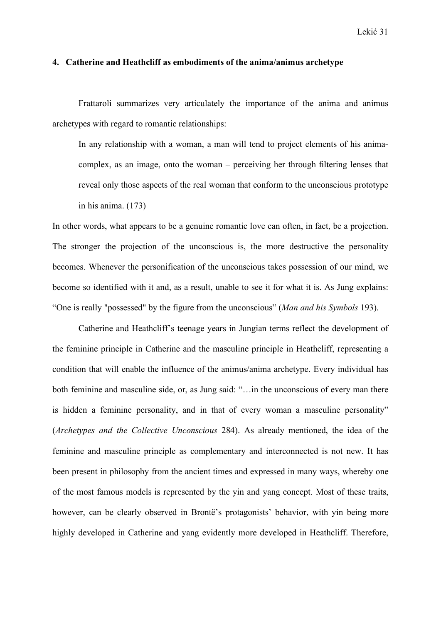#### **4. Catherine and Heathcliff as embodiments of the anima/animus archetype**

 Frattaroli summarizes very articulately the importance of the anima and animus archetypes with regard to romantic relationships:

In any relationship with a woman, a man will tend to project elements of his animacomplex, as an image, onto the woman – perceiving her through filtering lenses that reveal only those aspects of the real woman that conform to the unconscious prototype in his anima. (173)

In other words, what appears to be a genuine romantic love can often, in fact, be a projection. The stronger the projection of the unconscious is, the more destructive the personality becomes. Whenever the personification of the unconscious takes possession of our mind, we become so identified with it and, as a result, unable to see it for what it is. As Jung explains: "One is really "possessed" by the figure from the unconscious" (*Man and his Symbols* 193).

 Catherine and Heathcliff's teenage years in Jungian terms reflect the development of the feminine principle in Catherine and the masculine principle in Heathcliff, representing a condition that will enable the influence of the animus/anima archetype. Every individual has both feminine and masculine side, or, as Jung said: "…in the unconscious of every man there is hidden a feminine personality, and in that of every woman a masculine personality" (*Archetypes and the Collective Unconscious* 284). As already mentioned, the idea of the feminine and masculine principle as complementary and interconnected is not new. It has been present in philosophy from the ancient times and expressed in many ways, whereby one of the most famous models is represented by the yin and yang concept. Most of these traits, however, can be clearly observed in Brontë's protagonists' behavior, with yin being more highly developed in Catherine and yang evidently more developed in Heathcliff. Therefore,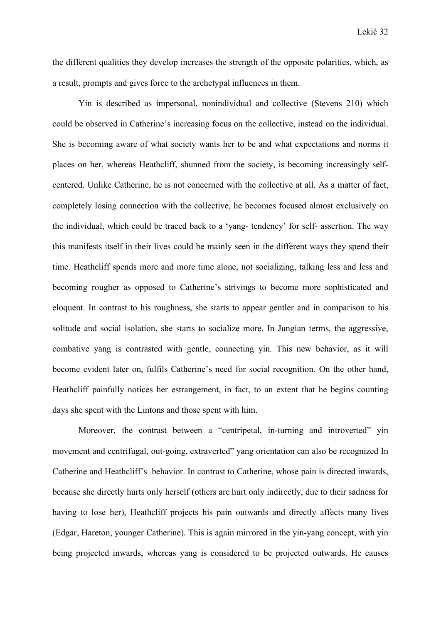the different qualities they develop increases the strength of the opposite polarities, which, as a result, prompts and gives force to the archetypal influences in them.

 Yin is described as impersonal, nonindividual and collective (Stevens 210) which could be observed in Catherine's increasing focus on the collective, instead on the individual. She is becoming aware of what society wants her to be and what expectations and norms it places on her, whereas Heathcliff, shunned from the society, is becoming increasingly selfcentered. Unlike Catherine, he is not concerned with the collective at all. As a matter of fact, completely losing connection with the collective, he becomes focused almost exclusively on the individual, which could be traced back to a 'yang- tendency' for self- assertion. The way this manifests itself in their lives could be mainly seen in the different ways they spend their time. Heathcliff spends more and more time alone, not socializing, talking less and less and becoming rougher as opposed to Catherine's strivings to become more sophisticated and eloquent. In contrast to his roughness, she starts to appear gentler and in comparison to his solitude and social isolation, she starts to socialize more. In Jungian terms, the aggressive, combative yang is contrasted with gentle, connecting yin. This new behavior, as it will become evident later on, fulfils Catherine's need for social recognition. On the other hand, Heathcliff painfully notices her estrangement, in fact, to an extent that he begins counting days she spent with the Lintons and those spent with him.

 Moreover, the contrast between a "centripetal, in-turning and introverted" yin movement and centrifugal, out-going, extraverted" yang orientation can also be recognized In Catherine and Heathcliff's behavior. In contrast to Catherine, whose pain is directed inwards, because she directly hurts only herself (others are hurt only indirectly, due to their sadness for having to lose her), Heathcliff projects his pain outwards and directly affects many lives (Edgar, Hareton, younger Catherine). This is again mirrored in the yin-yang concept, with yin being projected inwards, whereas yang is considered to be projected outwards. He causes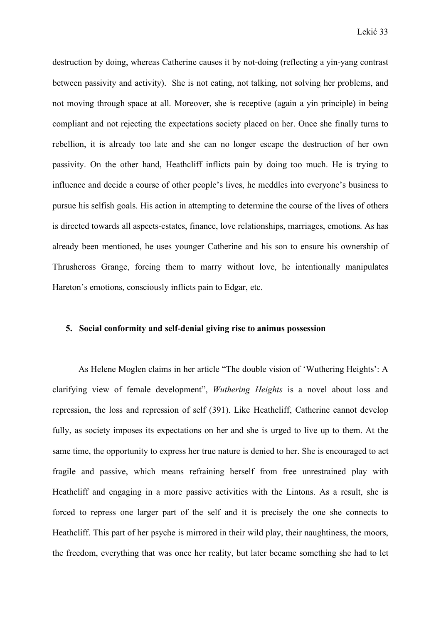destruction by doing, whereas Catherine causes it by not-doing (reflecting a yin-yang contrast between passivity and activity). She is not eating, not talking, not solving her problems, and not moving through space at all. Moreover, she is receptive (again a yin principle) in being compliant and not rejecting the expectations society placed on her. Once she finally turns to rebellion, it is already too late and she can no longer escape the destruction of her own passivity. On the other hand, Heathcliff inflicts pain by doing too much. He is trying to influence and decide a course of other people's lives, he meddles into everyone's business to pursue his selfish goals. His action in attempting to determine the course of the lives of others is directed towards all aspects-estates, finance, love relationships, marriages, emotions. As has already been mentioned, he uses younger Catherine and his son to ensure his ownership of Thrushcross Grange, forcing them to marry without love, he intentionally manipulates Hareton's emotions, consciously inflicts pain to Edgar, etc.

#### **5. Social conformity and self-denial giving rise to animus possession**

 As Helene Moglen claims in her article "The double vision of 'Wuthering Heights': A clarifying view of female development", *Wuthering Heights* is a novel about loss and repression, the loss and repression of self (391). Like Heathcliff, Catherine cannot develop fully, as society imposes its expectations on her and she is urged to live up to them. At the same time, the opportunity to express her true nature is denied to her. She is encouraged to act fragile and passive, which means refraining herself from free unrestrained play with Heathcliff and engaging in a more passive activities with the Lintons. As a result, she is forced to repress one larger part of the self and it is precisely the one she connects to Heathcliff. This part of her psyche is mirrored in their wild play, their naughtiness, the moors, the freedom, everything that was once her reality, but later became something she had to let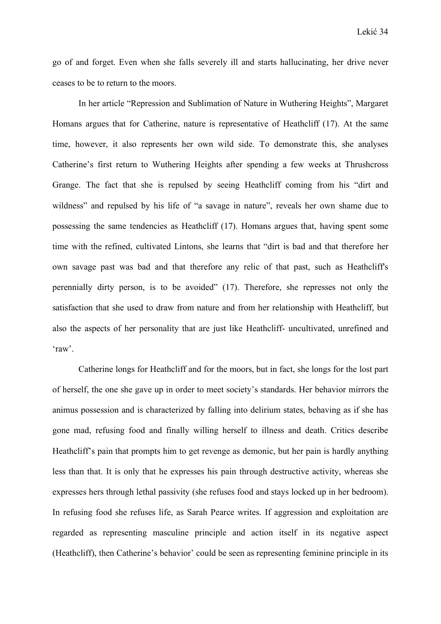go of and forget. Even when she falls severely ill and starts hallucinating, her drive never ceases to be to return to the moors.

 In her article "Repression and Sublimation of Nature in Wuthering Heights", Margaret Homans argues that for Catherine, nature is representative of Heathcliff (17). At the same time, however, it also represents her own wild side. To demonstrate this, she analyses Catherine's first return to Wuthering Heights after spending a few weeks at Thrushcross Grange. The fact that she is repulsed by seeing Heathcliff coming from his "dirt and wildness" and repulsed by his life of "a savage in nature", reveals her own shame due to possessing the same tendencies as Heathcliff (17). Homans argues that, having spent some time with the refined, cultivated Lintons, she learns that "dirt is bad and that therefore her own savage past was bad and that therefore any relic of that past, such as Heathcliff's perennially dirty person, is to be avoided" (17). Therefore, she represses not only the satisfaction that she used to draw from nature and from her relationship with Heathcliff, but also the aspects of her personality that are just like Heathcliff- uncultivated, unrefined and 'raw'.

 Catherine longs for Heathcliff and for the moors, but in fact, she longs for the lost part of herself, the one she gave up in order to meet society's standards. Her behavior mirrors the animus possession and is characterized by falling into delirium states, behaving as if she has gone mad, refusing food and finally willing herself to illness and death. Critics describe Heathcliff's pain that prompts him to get revenge as demonic, but her pain is hardly anything less than that. It is only that he expresses his pain through destructive activity, whereas she expresses hers through lethal passivity (she refuses food and stays locked up in her bedroom). In refusing food she refuses life, as Sarah Pearce writes. If aggression and exploitation are regarded as representing masculine principle and action itself in its negative aspect (Heathcliff), then Catherine's behavior' could be seen as representing feminine principle in its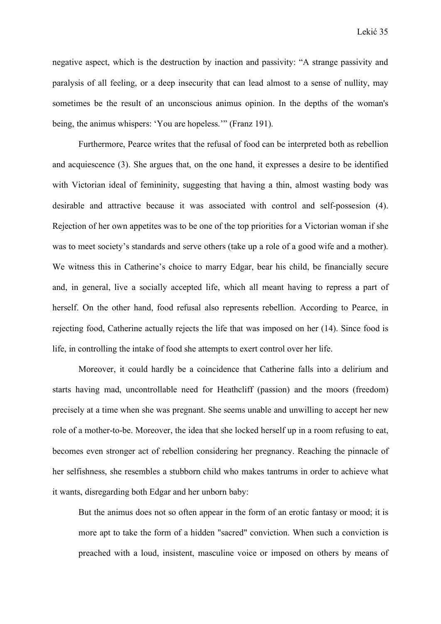negative aspect, which is the destruction by inaction and passivity: "A strange passivity and paralysis of all feeling, or a deep insecurity that can lead almost to a sense of nullity, may sometimes be the result of an unconscious animus opinion. In the depths of the woman's being, the animus whispers: 'You are hopeless.'" (Franz 191).

 Furthermore, Pearce writes that the refusal of food can be interpreted both as rebellion and acquiescence (3). She argues that, on the one hand, it expresses a desire to be identified with Victorian ideal of femininity, suggesting that having a thin, almost wasting body was desirable and attractive because it was associated with control and self-possesion (4). Rejection of her own appetites was to be one of the top priorities for a Victorian woman if she was to meet society's standards and serve others (take up a role of a good wife and a mother). We witness this in Catherine's choice to marry Edgar, bear his child, be financially secure and, in general, live a socially accepted life, which all meant having to repress a part of herself. On the other hand, food refusal also represents rebellion. According to Pearce, in rejecting food, Catherine actually rejects the life that was imposed on her (14). Since food is life, in controlling the intake of food she attempts to exert control over her life.

 Moreover, it could hardly be a coincidence that Catherine falls into a delirium and starts having mad, uncontrollable need for Heathcliff (passion) and the moors (freedom) precisely at a time when she was pregnant. She seems unable and unwilling to accept her new role of a mother-to-be. Moreover, the idea that she locked herself up in a room refusing to eat, becomes even stronger act of rebellion considering her pregnancy. Reaching the pinnacle of her selfishness, she resembles a stubborn child who makes tantrums in order to achieve what it wants, disregarding both Edgar and her unborn baby:

But the animus does not so often appear in the form of an erotic fantasy or mood; it is more apt to take the form of a hidden "sacred" conviction. When such a conviction is preached with a loud, insistent, masculine voice or imposed on others by means of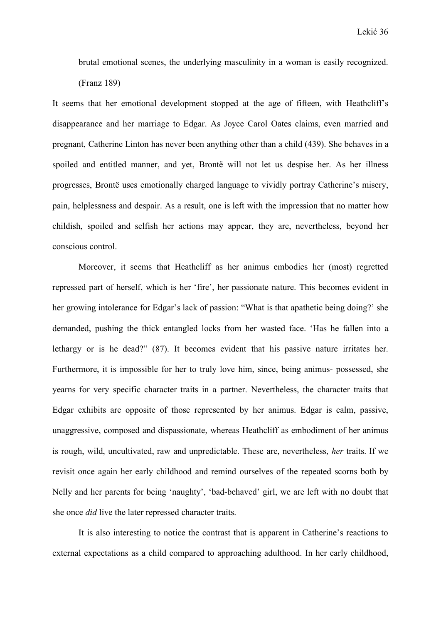brutal emotional scenes, the underlying masculinity in a woman is easily recognized. (Franz 189)

It seems that her emotional development stopped at the age of fifteen, with Heathcliff's disappearance and her marriage to Edgar. As Joyce Carol Oates claims, even married and pregnant, Catherine Linton has never been anything other than a child (439). She behaves in a spoiled and entitled manner, and yet, Brontë will not let us despise her. As her illness progresses, Brontë uses emotionally charged language to vividly portray Catherine's misery, pain, helplessness and despair. As a result, one is left with the impression that no matter how childish, spoiled and selfish her actions may appear, they are, nevertheless, beyond her conscious control.

 Moreover, it seems that Heathcliff as her animus embodies her (most) regretted repressed part of herself, which is her 'fire', her passionate nature. This becomes evident in her growing intolerance for Edgar's lack of passion: "What is that apathetic being doing?' she demanded, pushing the thick entangled locks from her wasted face. 'Has he fallen into a lethargy or is he dead?" (87). It becomes evident that his passive nature irritates her. Furthermore, it is impossible for her to truly love him, since, being animus- possessed, she yearns for very specific character traits in a partner. Nevertheless, the character traits that Edgar exhibits are opposite of those represented by her animus. Edgar is calm, passive, unaggressive, composed and dispassionate, whereas Heathcliff as embodiment of her animus is rough, wild, uncultivated, raw and unpredictable. These are, nevertheless, *her* traits. If we revisit once again her early childhood and remind ourselves of the repeated scorns both by Nelly and her parents for being 'naughty', 'bad-behaved' girl, we are left with no doubt that she once *did* live the later repressed character traits.

 It is also interesting to notice the contrast that is apparent in Catherine's reactions to external expectations as a child compared to approaching adulthood. In her early childhood,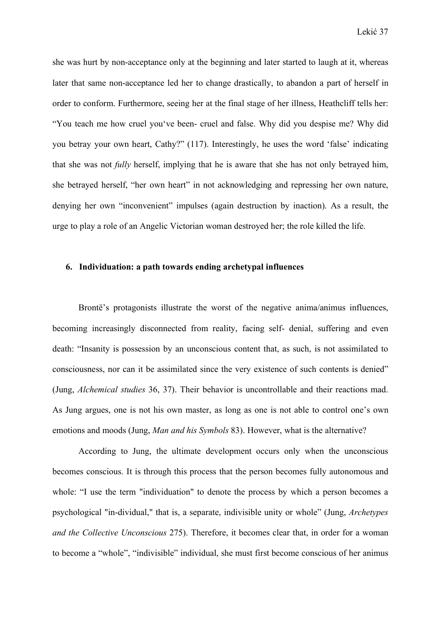she was hurt by non-acceptance only at the beginning and later started to laugh at it, whereas later that same non-acceptance led her to change drastically, to abandon a part of herself in order to conform. Furthermore, seeing her at the final stage of her illness, Heathcliff tells her: "You teach me how cruel you've been- cruel and false. Why did you despise me? Why did you betray your own heart, Cathy?" (117). Interestingly, he uses the word 'false' indicating that she was not *fully* herself, implying that he is aware that she has not only betrayed him, she betrayed herself, "her own heart" in not acknowledging and repressing her own nature, denying her own "inconvenient" impulses (again destruction by inaction). As a result, the urge to play a role of an Angelic Victorian woman destroyed her; the role killed the life.

#### **6. Individuation: a path towards ending archetypal influences**

 Brontë's protagonists illustrate the worst of the negative anima/animus influences, becoming increasingly disconnected from reality, facing self- denial, suffering and even death: "Insanity is possession by an unconscious content that, as such, is not assimilated to consciousness, nor can it be assimilated since the very existence of such contents is denied" (Jung, *Alchemical studies* 36, 37). Their behavior is uncontrollable and their reactions mad. As Jung argues, one is not his own master, as long as one is not able to control one's own emotions and moods (Jung, *Man and his Symbols* 83). However, what is the alternative?

 According to Jung, the ultimate development occurs only when the unconscious becomes conscious. It is through this process that the person becomes fully autonomous and whole: "I use the term "individuation" to denote the process by which a person becomes a psychological "in-dividual," that is, a separate, indivisible unity or whole" (Jung, *Archetypes and the Collective Unconscious* 275). Therefore, it becomes clear that, in order for a woman to become a "whole", "indivisible" individual, she must first become conscious of her animus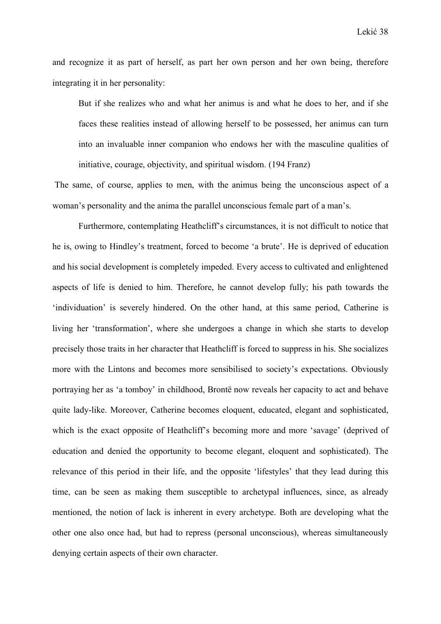and recognize it as part of herself, as part her own person and her own being, therefore integrating it in her personality:

But if she realizes who and what her animus is and what he does to her, and if she faces these realities instead of allowing herself to be possessed, her animus can turn into an invaluable inner companion who endows her with the masculine qualities of initiative, courage, objectivity, and spiritual wisdom. (194 Franz)

 The same, of course, applies to men, with the animus being the unconscious aspect of a woman's personality and the anima the parallel unconscious female part of a man's.

 Furthermore, contemplating Heathcliff's circumstances, it is not difficult to notice that he is, owing to Hindley's treatment, forced to become 'a brute'. He is deprived of education and his social development is completely impeded. Every access to cultivated and enlightened aspects of life is denied to him. Therefore, he cannot develop fully; his path towards the 'individuation' is severely hindered. On the other hand, at this same period, Catherine is living her 'transformation', where she undergoes a change in which she starts to develop precisely those traits in her character that Heathcliff is forced to suppress in his. She socializes more with the Lintons and becomes more sensibilised to society's expectations. Obviously portraying her as 'a tomboy' in childhood, Brontë now reveals her capacity to act and behave quite lady-like. Moreover, Catherine becomes eloquent, educated, elegant and sophisticated, which is the exact opposite of Heathcliff's becoming more and more 'savage' (deprived of education and denied the opportunity to become elegant, eloquent and sophisticated). The relevance of this period in their life, and the opposite 'lifestyles' that they lead during this time, can be seen as making them susceptible to archetypal influences, since, as already mentioned, the notion of lack is inherent in every archetype. Both are developing what the other one also once had, but had to repress (personal unconscious), whereas simultaneously denying certain aspects of their own character.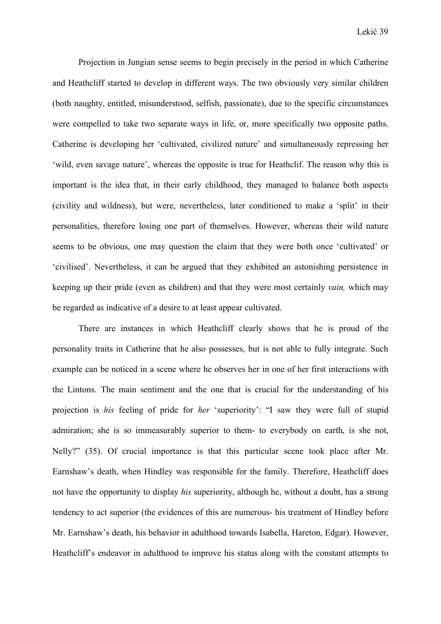Projection in Jungian sense seems to begin precisely in the period in which Catherine and Heathcliff started to develop in different ways. The two obviously very similar children (both naughty, entitled, misunderstood, selfish, passionate), due to the specific circumstances were compelled to take two separate ways in life, or, more specifically two opposite paths. Catherine is developing her 'cultivated, civilized nature' and simultaneously repressing her 'wild, even savage nature', whereas the opposite is true for Heathclif. The reason why this is important is the idea that, in their early childhood, they managed to balance both aspects (civility and wildness), but were, nevertheless, later conditioned to make a 'split' in their personalities, therefore losing one part of themselves. However, whereas their wild nature seems to be obvious, one may question the claim that they were both once 'cultivated' or 'civilised'. Nevertheless, it can be argued that they exhibited an astonishing persistence in keeping up their pride (even as children) and that they were most certainly *vain,* which may be regarded as indicative of a desire to at least appear cultivated.

 There are instances in which Heathcliff clearly shows that he is proud of the personality traits in Catherine that he also possesses, but is not able to fully integrate. Such example can be noticed in a scene where he observes her in one of her first interactions with the Lintons. The main sentiment and the one that is crucial for the understanding of his projection is *his* feeling of pride for *her* 'superiority': "I saw they were full of stupid admiration; she is so immeasurably superior to them- to everybody on earth, is she not, Nelly?" (35). Of crucial importance is that this particular scene took place after Mr. Earnshaw's death, when Hindley was responsible for the family. Therefore, Heathcliff does not have the opportunity to display *his* superiority, although he, without a doubt, has a strong tendency to act superior (the evidences of this are numerous- his treatment of Hindley before Mr. Earnshaw's death, his behavior in adulthood towards Isabella, Hareton, Edgar). However, Heathcliff's endeavor in adulthood to improve his status along with the constant attempts to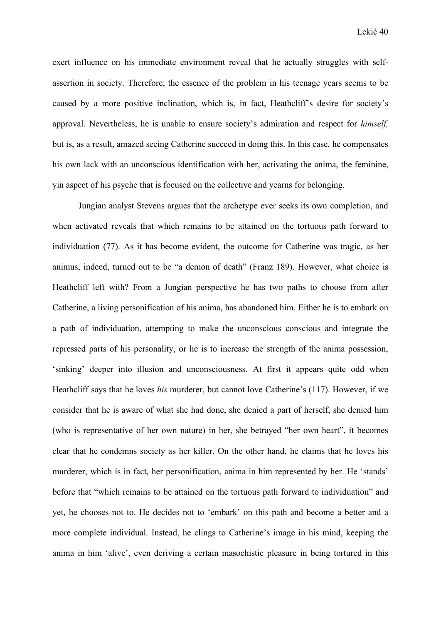exert influence on his immediate environment reveal that he actually struggles with selfassertion in society. Therefore, the essence of the problem in his teenage years seems to be caused by a more positive inclination, which is, in fact, Heathcliff's desire for society's approval. Nevertheless, he is unable to ensure society's admiration and respect for *himself,* but is, as a result, amazed seeing Catherine succeed in doing this. In this case, he compensates his own lack with an unconscious identification with her, activating the anima, the feminine, yin aspect of his psyche that is focused on the collective and yearns for belonging.

 Jungian analyst Stevens argues that the archetype ever seeks its own completion, and when activated reveals that which remains to be attained on the tortuous path forward to individuation (77). As it has become evident, the outcome for Catherine was tragic, as her animus, indeed, turned out to be "a demon of death" (Franz 189). However, what choice is Heathcliff left with? From a Jungian perspective he has two paths to choose from after Catherine, a living personification of his anima, has abandoned him. Either he is to embark on a path of individuation, attempting to make the unconscious conscious and integrate the repressed parts of his personality, or he is to increase the strength of the anima possession, 'sinking' deeper into illusion and unconsciousness. At first it appears quite odd when Heathcliff says that he loves *his* murderer, but cannot love Catherine's (117). However, if we consider that he is aware of what she had done, she denied a part of herself, she denied him (who is representative of her own nature) in her, she betrayed "her own heart", it becomes clear that he condemns society as her killer. On the other hand, he claims that he loves his murderer, which is in fact, her personification, anima in him represented by her. He 'stands' before that "which remains to be attained on the tortuous path forward to individuation" and yet, he chooses not to. He decides not to 'embark' on this path and become a better and a more complete individual. Instead, he clings to Catherine's image in his mind, keeping the anima in him 'alive', even deriving a certain masochistic pleasure in being tortured in this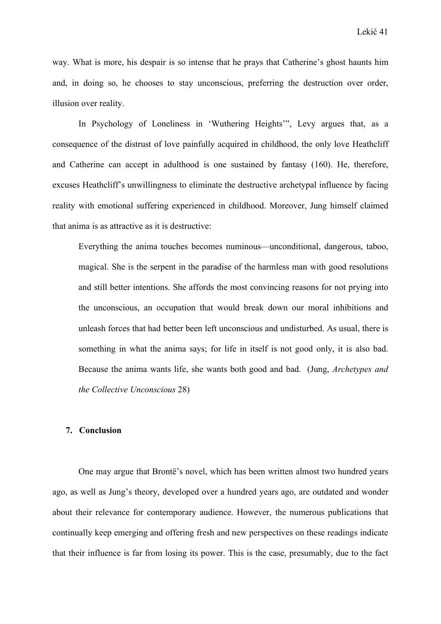way. What is more, his despair is so intense that he prays that Catherine's ghost haunts him and, in doing so, he chooses to stay unconscious, preferring the destruction over order, illusion over reality.

 In Psychology of Loneliness in 'Wuthering Heights'", Levy argues that, as a consequence of the distrust of love painfully acquired in childhood, the only love Heathcliff and Catherine can accept in adulthood is one sustained by fantasy (160). He, therefore, excuses Heathcliff's unwillingness to eliminate the destructive archetypal influence by facing reality with emotional suffering experienced in childhood. Moreover, Jung himself claimed that anima is as attractive as it is destructive:

Everything the anima touches becomes numinous—unconditional, dangerous, taboo, magical. She is the serpent in the paradise of the harmless man with good resolutions and still better intentions. She affords the most convincing reasons for not prying into the unconscious, an occupation that would break down our moral inhibitions and unleash forces that had better been left unconscious and undisturbed. As usual, there is something in what the anima says; for life in itself is not good only, it is also bad. Because the anima wants life, she wants both good and bad. (Jung, *Archetypes and the Collective Unconscious* 28)

#### **7. Conclusion**

 One may argue that Brontë's novel, which has been written almost two hundred years ago, as well as Jung's theory, developed over a hundred years ago, are outdated and wonder about their relevance for contemporary audience. However, the numerous publications that continually keep emerging and offering fresh and new perspectives on these readings indicate that their influence is far from losing its power. This is the case, presumably, due to the fact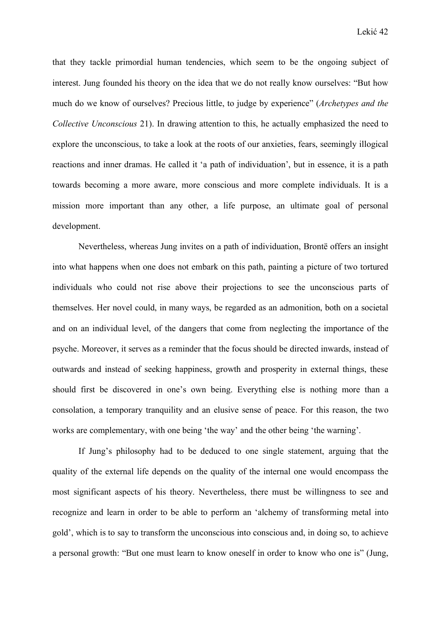that they tackle primordial human tendencies, which seem to be the ongoing subject of interest. Jung founded his theory on the idea that we do not really know ourselves: "But how much do we know of ourselves? Precious little, to judge by experience" (*Archetypes and the Collective Unconscious* 21). In drawing attention to this, he actually emphasized the need to explore the unconscious, to take a look at the roots of our anxieties, fears, seemingly illogical reactions and inner dramas. He called it 'a path of individuation', but in essence, it is a path towards becoming a more aware, more conscious and more complete individuals. It is a mission more important than any other, a life purpose, an ultimate goal of personal development.

 Nevertheless, whereas Jung invites on a path of individuation, Brontë offers an insight into what happens when one does not embark on this path, painting a picture of two tortured individuals who could not rise above their projections to see the unconscious parts of themselves. Her novel could, in many ways, be regarded as an admonition, both on a societal and on an individual level, of the dangers that come from neglecting the importance of the psyche. Moreover, it serves as a reminder that the focus should be directed inwards, instead of outwards and instead of seeking happiness, growth and prosperity in external things, these should first be discovered in one's own being. Everything else is nothing more than a consolation, a temporary tranquility and an elusive sense of peace. For this reason, the two works are complementary, with one being 'the way' and the other being 'the warning'.

 If Jung's philosophy had to be deduced to one single statement, arguing that the quality of the external life depends on the quality of the internal one would encompass the most significant aspects of his theory. Nevertheless, there must be willingness to see and recognize and learn in order to be able to perform an 'alchemy of transforming metal into gold', which is to say to transform the unconscious into conscious and, in doing so, to achieve a personal growth: "But one must learn to know oneself in order to know who one is" (Jung,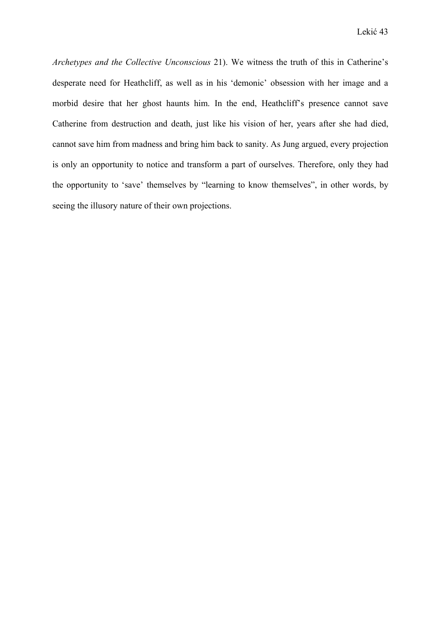*Archetypes and the Collective Unconscious* 21). We witness the truth of this in Catherine's desperate need for Heathcliff, as well as in his 'demonic' obsession with her image and a morbid desire that her ghost haunts him. In the end, Heathcliff's presence cannot save Catherine from destruction and death, just like his vision of her, years after she had died, cannot save him from madness and bring him back to sanity. As Jung argued, every projection is only an opportunity to notice and transform a part of ourselves. Therefore, only they had the opportunity to 'save' themselves by "learning to know themselves", in other words, by seeing the illusory nature of their own projections.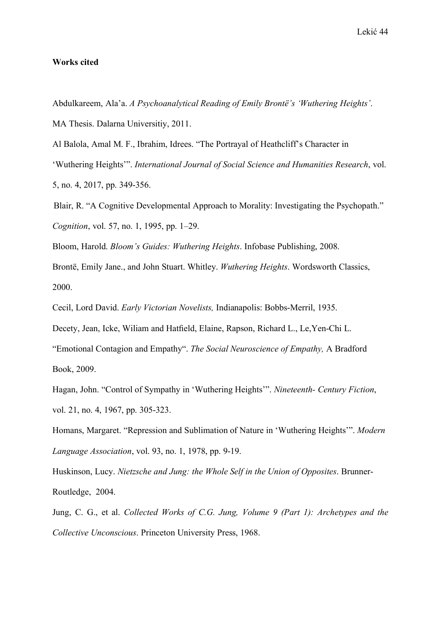#### **Works cited**

Abdulkareem, Ala'a. *A Psychoanalytical Reading of Emily Brontë's 'Wuthering Heights'*. MA Thesis. Dalarna Universitiy, 2011.

Al Balola, Amal M. F., Ibrahim, Idrees. "The Portrayal of Heathcliff's Character in

'Wuthering Heights'". *International Journal of Social Science and Humanities Research*, vol. 5, no. 4, 2017, pp. 349-356.

 Blair, R. "A Cognitive Developmental Approach to Morality: Investigating the Psychopath." *Cognition*, vol. 57, no. 1, 1995, pp. 1–29.

Bloom, Harold. *Bloom's Guides: Wuthering Heights*. Infobase Publishing, 2008.

Brontë, Emily Jane., and John Stuart. Whitley. *Wuthering Heights*. Wordsworth Classics, 2000.

Cecil, Lord David. *Early Victorian Novelists,* Indianapolis: Bobbs-Merril, 1935.

Decety, Jean, Icke, Wiliam and Hatfield, Elaine, Rapson, Richard L., Le,Yen-Chi L.

"Emotional Contagion and Empathy". *The Social Neuroscience of Empathy,* A Bradford Book, 2009.

Hagan, John. "Control of Sympathy in 'Wuthering Heights'". *Nineteenth- Century Fiction*, vol. 21, no. 4, 1967, pp. 305-323.

Homans, Margaret. "Repression and Sublimation of Nature in 'Wuthering Heights'". *Modern Language Association*, vol. 93, no. 1, 1978, pp. 9-19.

Huskinson, Lucy. *Nietzsche and Jung: the Whole Self in the Union of Opposites*. Brunner-Routledge, 2004.

Jung, C. G., et al. *Collected Works of C.G. Jung, Volume 9 (Part 1): Archetypes and the Collective Unconscious*. Princeton University Press, 1968.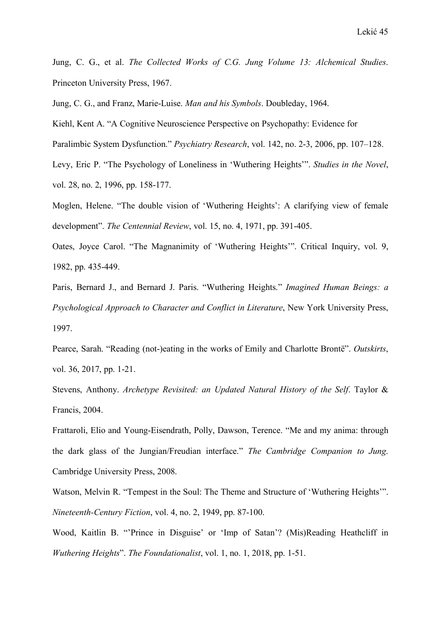Jung, C. G., et al. *The Collected Works of C.G. Jung Volume 13: Alchemical Studies*. Princeton University Press, 1967.

Jung, C. G., and Franz, Marie-Luise. *Man and his Symbols*. Doubleday, 1964.

Kiehl, Kent A. "A Cognitive Neuroscience Perspective on Psychopathy: Evidence for

Paralimbic System Dysfunction." *Psychiatry Research*, vol. 142, no. 2-3, 2006, pp. 107–128.

Levy, Eric P. "The Psychology of Loneliness in 'Wuthering Heights'". *Studies in the Novel*, vol. 28, no. 2, 1996, pp. 158-177.

Moglen, Helene. "The double vision of 'Wuthering Heights': A clarifying view of female development". *The Centennial Review*, vol. 15, no. 4, 1971, pp. 391-405.

Oates, Joyce Carol. "The Magnanimity of 'Wuthering Heights'". Critical Inquiry, vol. 9, 1982, pp. 435-449.

Paris, Bernard J., and Bernard J. Paris. "Wuthering Heights." *Imagined Human Beings: a Psychological Approach to Character and Conflict in Literature*, New York University Press, 1997.

Pearce, Sarah. "Reading (not-)eating in the works of Emily and Charlotte Brontë". *Outskirts*, vol. 36, 2017, pp. 1-21.

Stevens, Anthony. *Archetype Revisited: an Updated Natural History of the Self*. Taylor & Francis, 2004.

Frattaroli, Elio and Young-Eisendrath, Polly, Dawson, Terence. "Me and my anima: through the dark glass of the Jungian/Freudian interface." *The Cambridge Companion to Jung*. Cambridge University Press, 2008.

Watson, Melvin R. "Tempest in the Soul: The Theme and Structure of 'Wuthering Heights'". *Nineteenth-Century Fiction*, vol. 4, no. 2, 1949, pp. 87-100.

Wood, Kaitlin B. "'Prince in Disguise' or 'Imp of Satan'? (Mis)Reading Heathcliff in *Wuthering Heights*". *The Foundationalist*, vol. 1, no. 1, 2018, pp. 1-51.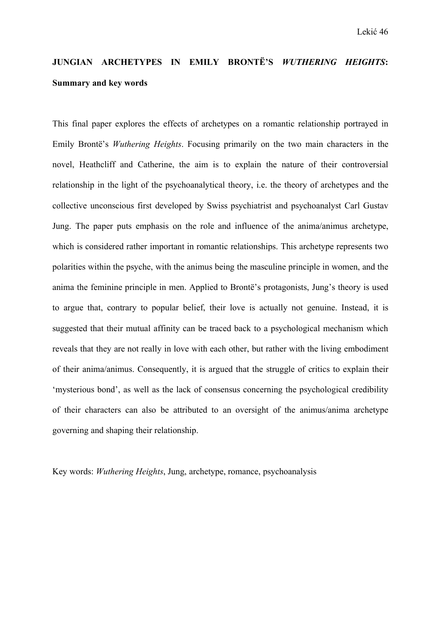## **JUNGIAN ARCHETYPES IN EMILY BRONTË'S** *WUTHERING HEIGHTS***: Summary and key words**

This final paper explores the effects of archetypes on a romantic relationship portrayed in Emily Brontë's *Wuthering Heights*. Focusing primarily on the two main characters in the novel, Heathcliff and Catherine, the aim is to explain the nature of their controversial relationship in the light of the psychoanalytical theory, i.e. the theory of archetypes and the collective unconscious first developed by Swiss psychiatrist and psychoanalyst Carl Gustav Jung. The paper puts emphasis on the role and influence of the anima/animus archetype, which is considered rather important in romantic relationships. This archetype represents two polarities within the psyche, with the animus being the masculine principle in women, and the anima the feminine principle in men. Applied to Brontë's protagonists, Jung's theory is used to argue that, contrary to popular belief, their love is actually not genuine. Instead, it is suggested that their mutual affinity can be traced back to a psychological mechanism which reveals that they are not really in love with each other, but rather with the living embodiment of their anima/animus. Consequently, it is argued that the struggle of critics to explain their 'mysterious bond', as well as the lack of consensus concerning the psychological credibility of their characters can also be attributed to an oversight of the animus/anima archetype governing and shaping their relationship.

Key words: *Wuthering Heights*, Jung, archetype, romance, psychoanalysis